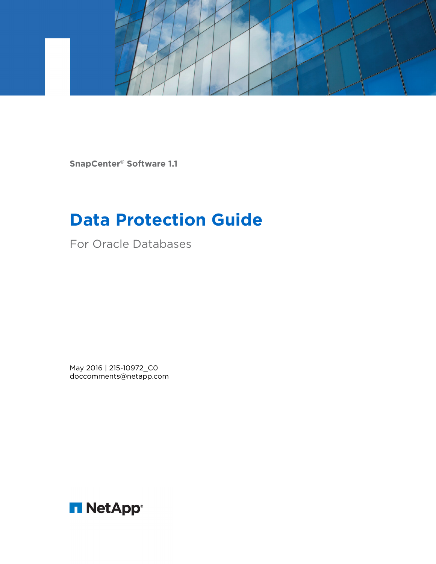

**SnapCenter**® **Software 1.1**

# **Data Protection Guide**

For Oracle Databases

May 2016 | 215-10972\_C0 doccomments@netapp.com

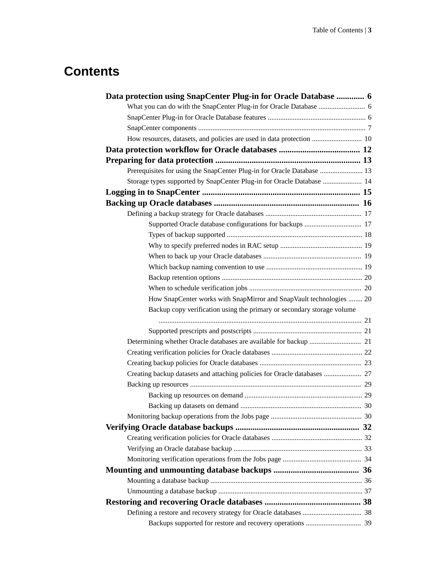# **Contents**

| Data protection using SnapCenter Plug-in for Oracle Database  6        |  |
|------------------------------------------------------------------------|--|
|                                                                        |  |
|                                                                        |  |
|                                                                        |  |
| How resources, datasets, and policies are used in data protection  10  |  |
|                                                                        |  |
|                                                                        |  |
| Prerequisites for using the SnapCenter Plug-in for Oracle Database  13 |  |
| Storage types supported by SnapCenter Plug-in for Oracle Database  14  |  |
|                                                                        |  |
|                                                                        |  |
|                                                                        |  |
|                                                                        |  |
|                                                                        |  |
|                                                                        |  |
|                                                                        |  |
|                                                                        |  |
|                                                                        |  |
|                                                                        |  |
| How SnapCenter works with SnapMirror and SnapVault technologies  20    |  |
| Backup copy verification using the primary or secondary storage volume |  |
|                                                                        |  |
|                                                                        |  |
|                                                                        |  |
|                                                                        |  |
|                                                                        |  |
|                                                                        |  |
|                                                                        |  |
|                                                                        |  |
|                                                                        |  |
|                                                                        |  |
|                                                                        |  |
|                                                                        |  |
|                                                                        |  |
|                                                                        |  |
|                                                                        |  |
|                                                                        |  |
|                                                                        |  |
|                                                                        |  |
|                                                                        |  |
|                                                                        |  |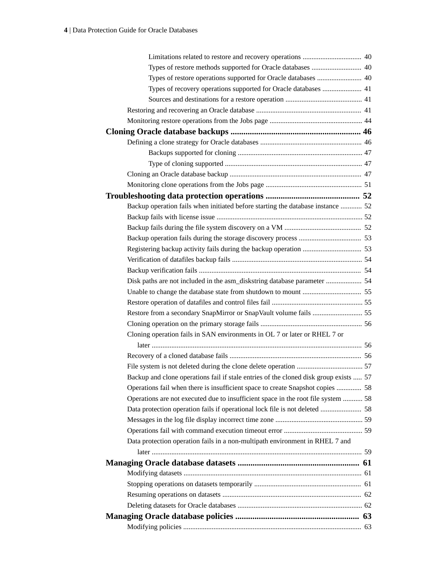| Types of restore operations supported for Oracle databases  40                        |  |
|---------------------------------------------------------------------------------------|--|
| Types of recovery operations supported for Oracle databases  41                       |  |
|                                                                                       |  |
|                                                                                       |  |
|                                                                                       |  |
|                                                                                       |  |
|                                                                                       |  |
|                                                                                       |  |
|                                                                                       |  |
|                                                                                       |  |
|                                                                                       |  |
|                                                                                       |  |
| Backup operation fails when initiated before starting the database instance  52       |  |
|                                                                                       |  |
|                                                                                       |  |
|                                                                                       |  |
|                                                                                       |  |
|                                                                                       |  |
|                                                                                       |  |
|                                                                                       |  |
|                                                                                       |  |
|                                                                                       |  |
|                                                                                       |  |
|                                                                                       |  |
| Cloning operation fails in SAN environments in OL 7 or later or RHEL 7 or             |  |
|                                                                                       |  |
|                                                                                       |  |
|                                                                                       |  |
| Backup and clone operations fail if stale entries of the cloned disk group exists  57 |  |
| Operations fail when there is insufficient space to create Snapshot copies  58        |  |
| Operations are not executed due to insufficient space in the root file system  58     |  |
|                                                                                       |  |
|                                                                                       |  |
|                                                                                       |  |
| Data protection operation fails in a non-multipath environment in RHEL 7 and          |  |
|                                                                                       |  |
|                                                                                       |  |
|                                                                                       |  |
|                                                                                       |  |
|                                                                                       |  |
|                                                                                       |  |
|                                                                                       |  |
|                                                                                       |  |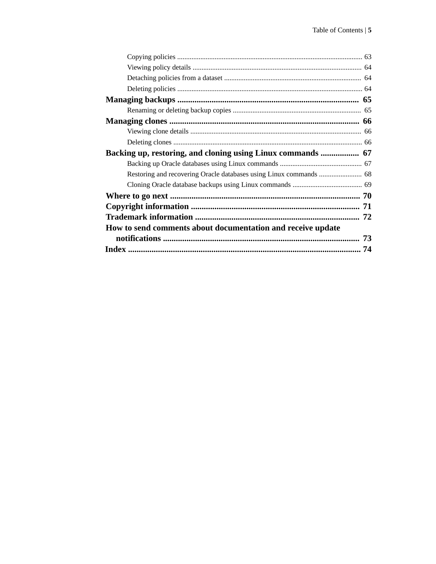| How to send comments about documentation and receive update |  |
|-------------------------------------------------------------|--|
|                                                             |  |
| 74                                                          |  |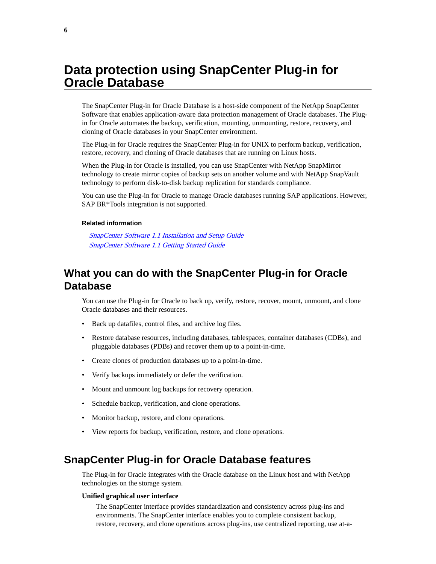# <span id="page-5-0"></span>**Data protection using SnapCenter Plug-in for Oracle Database**

The SnapCenter Plug-in for Oracle Database is a host-side component of the NetApp SnapCenter Software that enables application-aware data protection management of Oracle databases. The Plugin for Oracle automates the backup, verification, mounting, unmounting, restore, recovery, and cloning of Oracle databases in your SnapCenter environment.

The Plug-in for Oracle requires the SnapCenter Plug-in for UNIX to perform backup, verification, restore, recovery, and cloning of Oracle databases that are running on Linux hosts.

When the Plug-in for Oracle is installed, you can use SnapCenter with NetApp SnapMirror technology to create mirror copies of backup sets on another volume and with NetApp SnapVault technology to perform disk-to-disk backup replication for standards compliance.

You can use the Plug-in for Oracle to manage Oracle databases running SAP applications. However, SAP BR\*Tools integration is not supported.

### **Related information**

[SnapCenter Software 1.1 Installation and Setup Guide](https://library.netapp.com/ecm/ecm_download_file/ECMLP2440193) [SnapCenter Software 1.1 Getting Started Guide](https://library.netapp.com/ecm/ecm_download_file/ECMLP2440145)

# **What you can do with the SnapCenter Plug-in for Oracle Database**

You can use the Plug-in for Oracle to back up, verify, restore, recover, mount, unmount, and clone Oracle databases and their resources.

- Back up datafiles, control files, and archive log files.
- Restore database resources, including databases, tablespaces, container databases (CDBs), and pluggable databases (PDBs) and recover them up to a point-in-time.
- Create clones of production databases up to a point-in-time.
- Verify backups immediately or defer the verification.
- Mount and unmount log backups for recovery operation.
- Schedule backup, verification, and clone operations.
- Monitor backup, restore, and clone operations.
- View reports for backup, verification, restore, and clone operations.

# **SnapCenter Plug-in for Oracle Database features**

The Plug-in for Oracle integrates with the Oracle database on the Linux host and with NetApp technologies on the storage system.

#### **Unified graphical user interface**

The SnapCenter interface provides standardization and consistency across plug-ins and environments. The SnapCenter interface enables you to complete consistent backup, restore, recovery, and clone operations across plug-ins, use centralized reporting, use at-a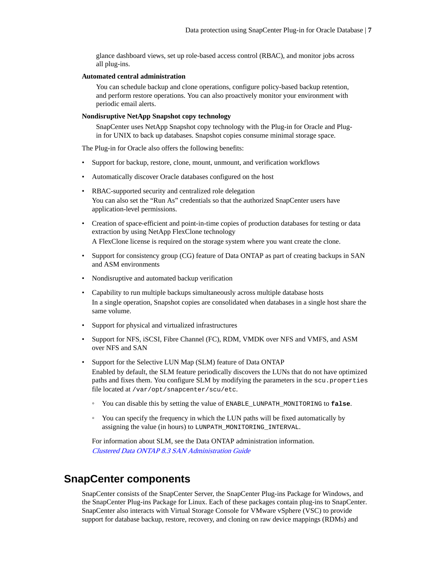<span id="page-6-0"></span>glance dashboard views, set up role-based access control (RBAC), and monitor jobs across all plug-ins.

### **Automated central administration**

You can schedule backup and clone operations, configure policy-based backup retention, and perform restore operations. You can also proactively monitor your environment with periodic email alerts.

# **Nondisruptive NetApp Snapshot copy technology**

SnapCenter uses NetApp Snapshot copy technology with the Plug-in for Oracle and Plugin for UNIX to back up databases. Snapshot copies consume minimal storage space.

The Plug-in for Oracle also offers the following benefits:

- Support for backup, restore, clone, mount, unmount, and verification workflows
- Automatically discover Oracle databases configured on the host
- RBAC-supported security and centralized role delegation You can also set the "Run As" credentials so that the authorized SnapCenter users have application-level permissions.
- Creation of space-efficient and point-in-time copies of production databases for testing or data extraction by using NetApp FlexClone technology A FlexClone license is required on the storage system where you want create the clone.
- Support for consistency group (CG) feature of Data ONTAP as part of creating backups in SAN and ASM environments
- Nondisruptive and automated backup verification
- Capability to run multiple backups simultaneously across multiple database hosts In a single operation, Snapshot copies are consolidated when databases in a single host share the same volume.
- Support for physical and virtualized infrastructures
- Support for NFS, iSCSI, Fibre Channel (FC), RDM, VMDK over NFS and VMFS, and ASM over NFS and SAN
- Support for the Selective LUN Map (SLM) feature of Data ONTAP Enabled by default, the SLM feature periodically discovers the LUNs that do not have optimized paths and fixes them. You configure SLM by modifying the parameters in the scu.properties file located at /var/opt/snapcenter/scu/etc.
	- You can disable this by setting the value of ENABLE\_LUNPATH\_MONITORING to **false**.
	- You can specify the frequency in which the LUN paths will be fixed automatically by assigning the value (in hours) to LUNPATH\_MONITORING\_INTERVAL.

For information about SLM, see the Data ONTAP administration information. [Clustered Data ONTAP 8.3 SAN Administration Guide](https://library.netapp.com/ecm/ecm_download_file/ECMLP2348030)

# **SnapCenter components**

SnapCenter consists of the SnapCenter Server, the SnapCenter Plug-ins Package for Windows, and the SnapCenter Plug-ins Package for Linux. Each of these packages contain plug-ins to SnapCenter. SnapCenter also interacts with Virtual Storage Console for VMware vSphere (VSC) to provide support for database backup, restore, recovery, and cloning on raw device mappings (RDMs) and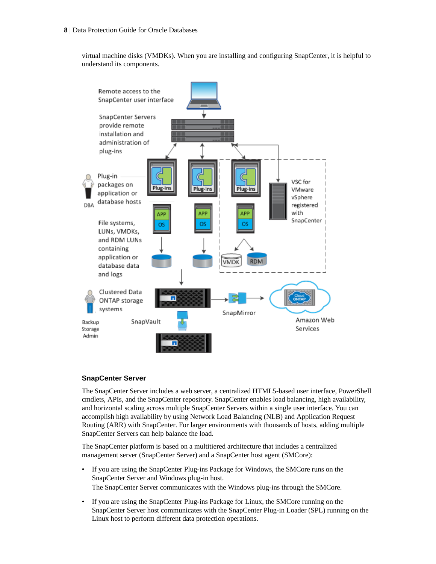virtual machine disks (VMDKs). When you are installing and configuring SnapCenter, it is helpful to understand its components.



# **SnapCenter Server**

The SnapCenter Server includes a web server, a centralized HTML5-based user interface, PowerShell cmdlets, APIs, and the SnapCenter repository. SnapCenter enables load balancing, high availability, and horizontal scaling across multiple SnapCenter Servers within a single user interface. You can accomplish high availability by using Network Load Balancing (NLB) and Application Request Routing (ARR) with SnapCenter. For larger environments with thousands of hosts, adding multiple SnapCenter Servers can help balance the load.

The SnapCenter platform is based on a multitiered architecture that includes a centralized management server (SnapCenter Server) and a SnapCenter host agent (SMCore):

- If you are using the SnapCenter Plug-ins Package for Windows, the SMCore runs on the SnapCenter Server and Windows plug-in host. The SnapCenter Server communicates with the Windows plug-ins through the SMCore.
- If you are using the SnapCenter Plug-ins Package for Linux, the SMCore running on the SnapCenter Server host communicates with the SnapCenter Plug-in Loader (SPL) running on the Linux host to perform different data protection operations.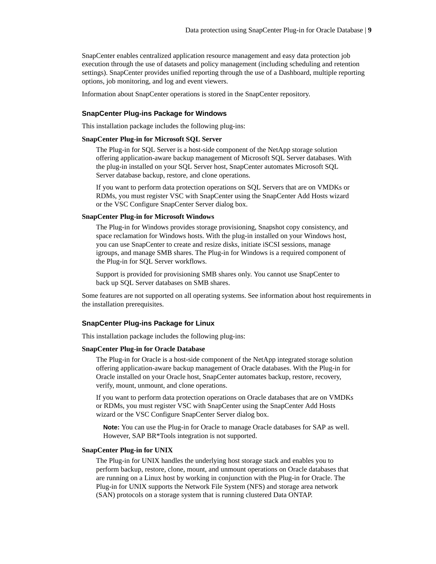SnapCenter enables centralized application resource management and easy data protection job execution through the use of datasets and policy management (including scheduling and retention settings). SnapCenter provides unified reporting through the use of a Dashboard, multiple reporting options, job monitoring, and log and event viewers.

Information about SnapCenter operations is stored in the SnapCenter repository.

## **SnapCenter Plug-ins Package for Windows**

This installation package includes the following plug-ins:

### **SnapCenter Plug-in for Microsoft SQL Server**

The Plug-in for SQL Server is a host-side component of the NetApp storage solution offering application-aware backup management of Microsoft SQL Server databases. With the plug-in installed on your SQL Server host, SnapCenter automates Microsoft SQL Server database backup, restore, and clone operations.

If you want to perform data protection operations on SQL Servers that are on VMDKs or RDMs, you must register VSC with SnapCenter using the SnapCenter Add Hosts wizard or the VSC Configure SnapCenter Server dialog box.

### **SnapCenter Plug-in for Microsoft Windows**

The Plug-in for Windows provides storage provisioning, Snapshot copy consistency, and space reclamation for Windows hosts. With the plug-in installed on your Windows host, you can use SnapCenter to create and resize disks, initiate iSCSI sessions, manage igroups, and manage SMB shares. The Plug-in for Windows is a required component of the Plug-in for SQL Server workflows.

Support is provided for provisioning SMB shares only. You cannot use SnapCenter to back up SQL Server databases on SMB shares.

Some features are not supported on all operating systems. See information about host requirements in the installation prerequisites.

### **SnapCenter Plug-ins Package for Linux**

This installation package includes the following plug-ins:

### **SnapCenter Plug-in for Oracle Database**

The Plug-in for Oracle is a host-side component of the NetApp integrated storage solution offering application-aware backup management of Oracle databases. With the Plug-in for Oracle installed on your Oracle host, SnapCenter automates backup, restore, recovery, verify, mount, unmount, and clone operations.

If you want to perform data protection operations on Oracle databases that are on VMDKs or RDMs, you must register VSC with SnapCenter using the SnapCenter Add Hosts wizard or the VSC Configure SnapCenter Server dialog box.

**Note:** You can use the Plug-in for Oracle to manage Oracle databases for SAP as well. However, SAP BR\*Tools integration is not supported.

### **SnapCenter Plug-in for UNIX**

The Plug-in for UNIX handles the underlying host storage stack and enables you to perform backup, restore, clone, mount, and unmount operations on Oracle databases that are running on a Linux host by working in conjunction with the Plug-in for Oracle. The Plug-in for UNIX supports the Network File System (NFS) and storage area network (SAN) protocols on a storage system that is running clustered Data ONTAP.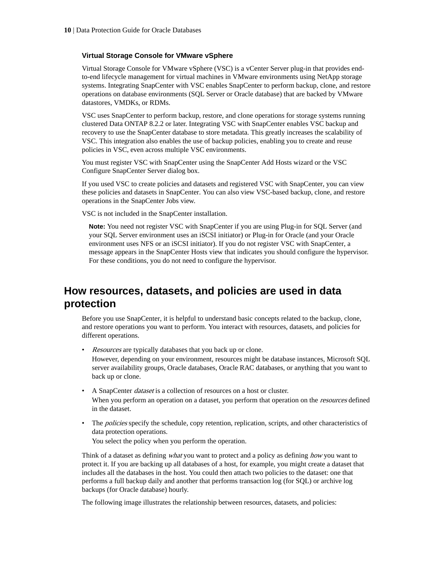# <span id="page-9-0"></span>**Virtual Storage Console for VMware vSphere**

Virtual Storage Console for VMware vSphere (VSC) is a vCenter Server plug-in that provides endto-end lifecycle management for virtual machines in VMware environments using NetApp storage systems. Integrating SnapCenter with VSC enables SnapCenter to perform backup, clone, and restore operations on database environments (SQL Server or Oracle database) that are backed by VMware datastores, VMDKs, or RDMs.

VSC uses SnapCenter to perform backup, restore, and clone operations for storage systems running clustered Data ONTAP 8.2.2 or later. Integrating VSC with SnapCenter enables VSC backup and recovery to use the SnapCenter database to store metadata. This greatly increases the scalability of VSC. This integration also enables the use of backup policies, enabling you to create and reuse policies in VSC, even across multiple VSC environments.

You must register VSC with SnapCenter using the SnapCenter Add Hosts wizard or the VSC Configure SnapCenter Server dialog box.

If you used VSC to create policies and datasets and registered VSC with SnapCenter, you can view these policies and datasets in SnapCenter. You can also view VSC-based backup, clone, and restore operations in the SnapCenter Jobs view.

VSC is not included in the SnapCenter installation.

**Note:** You need not register VSC with SnapCenter if you are using Plug-in for SQL Server (and your SQL Server environment uses an iSCSI initiator) or Plug-in for Oracle (and your Oracle environment uses NFS or an iSCSI initiator). If you do not register VSC with SnapCenter, a message appears in the SnapCenter Hosts view that indicates you should configure the hypervisor. For these conditions, you do not need to configure the hypervisor.

# **How resources, datasets, and policies are used in data protection**

Before you use SnapCenter, it is helpful to understand basic concepts related to the backup, clone, and restore operations you want to perform. You interact with resources, datasets, and policies for different operations.

- *Resources* are typically databases that you back up or clone. However, depending on your environment, resources might be database instances, Microsoft SQL server availability groups, Oracle databases, Oracle RAC databases, or anything that you want to back up or clone.
- A SnapCenter dataset is a collection of resources on a host or cluster. When you perform an operation on a dataset, you perform that operation on the *resources* defined in the dataset.
- The *policies* specify the schedule, copy retention, replication, scripts, and other characteristics of data protection operations.

You select the policy when you perform the operation.

Think of a dataset as defining what you want to protect and a policy as defining how you want to protect it. If you are backing up all databases of a host, for example, you might create a dataset that includes all the databases in the host. You could then attach two policies to the dataset: one that performs a full backup daily and another that performs transaction log (for SQL) or archive log backups (for Oracle database) hourly.

The following image illustrates the relationship between resources, datasets, and policies: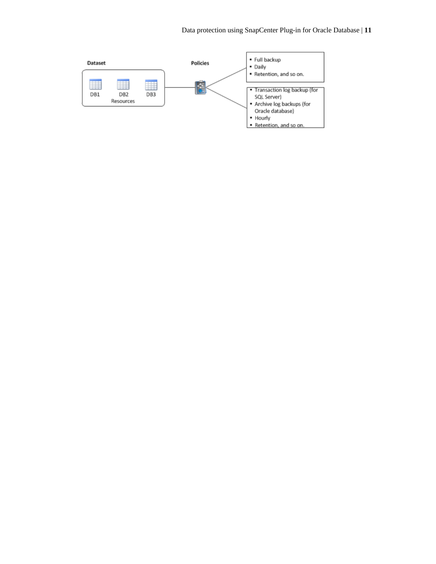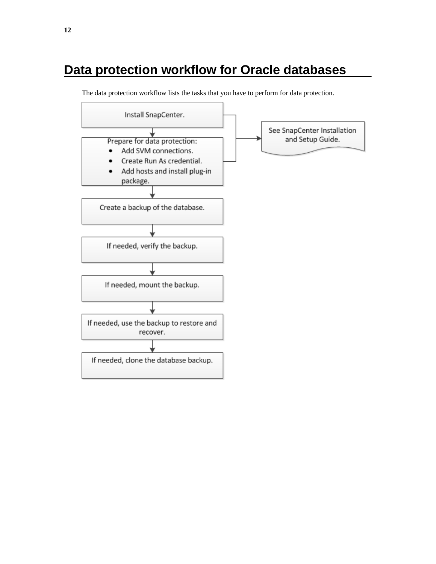# <span id="page-11-0"></span>**Data protection workflow for Oracle databases**



The data protection workflow lists the tasks that you have to perform for data protection.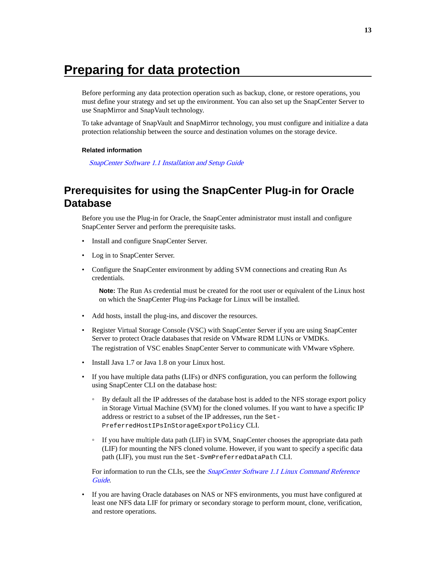# <span id="page-12-0"></span>**Preparing for data protection**

Before performing any data protection operation such as backup, clone, or restore operations, you must define your strategy and set up the environment. You can also set up the SnapCenter Server to use SnapMirror and SnapVault technology.

To take advantage of SnapVault and SnapMirror technology, you must configure and initialize a data protection relationship between the source and destination volumes on the storage device.

### **Related information**

[SnapCenter Software 1.1 Installation and Setup Guide](https://library.netapp.com/ecm/ecm_download_file/ECMLP2440193)

# **Prerequisites for using the SnapCenter Plug-in for Oracle Database**

Before you use the Plug-in for Oracle, the SnapCenter administrator must install and configure SnapCenter Server and perform the prerequisite tasks.

- Install and configure SnapCenter Server.
- Log in to SnapCenter Server.
- Configure the SnapCenter environment by adding SVM connections and creating Run As credentials.

**Note:** The Run As credential must be created for the root user or equivalent of the Linux host on which the SnapCenter Plug-ins Package for Linux will be installed.

- Add hosts, install the plug-ins, and discover the resources.
- Register Virtual Storage Console (VSC) with SnapCenter Server if you are using SnapCenter Server to protect Oracle databases that reside on VMware RDM LUNs or VMDKs. The registration of VSC enables SnapCenter Server to communicate with VMware vSphere.
- Install Java 1.7 or Java 1.8 on your Linux host.
- If you have multiple data paths (LIFs) or dNFS configuration, you can perform the following using SnapCenter CLI on the database host:
	- By default all the IP addresses of the database host is added to the NFS storage export policy in Storage Virtual Machine (SVM) for the cloned volumes. If you want to have a specific IP address or restrict to a subset of the IP addresses, run the Set-PreferredHostIPsInStorageExportPolicy CLI.
	- If you have multiple data path (LIF) in SVM, SnapCenter chooses the appropriate data path (LIF) for mounting the NFS cloned volume. However, if you want to specify a specific data path (LIF), you must run the Set-SvmPreferredDataPath CLI.

For information to run the CLIs, see the *[SnapCenter Software 1.1 Linux Command Reference](https://library.netapp.com/ecm/ecm_download_file/ECMLP2440332)* [Guide](https://library.netapp.com/ecm/ecm_download_file/ECMLP2440332).

• If you are having Oracle databases on NAS or NFS environments, you must have configured at least one NFS data LIF for primary or secondary storage to perform mount, clone, verification, and restore operations.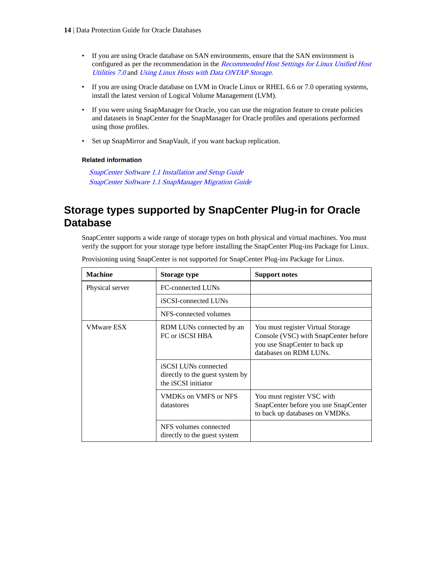- <span id="page-13-0"></span>• If you are using Oracle database on SAN environments, ensure that the SAN environment is configured as per the recommendation in the [Recommended Host Settings for Linux Unified Host](https://library.netapp.com/ecm/ecm_download_file/ECMP1654939) [Utilities 7.0](https://library.netapp.com/ecm/ecm_download_file/ECMP1654939) and [Using Linux Hosts with Data ONTAP Storage](https://library.netapp.com/ecm/ecm_download_file/ECMP1654943).
- If you are using Oracle database on LVM in Oracle Linux or RHEL 6.6 or 7.0 operating systems, install the latest version of Logical Volume Management (LVM).
- If you were using SnapManager for Oracle, you can use the migration feature to create policies and datasets in SnapCenter for the SnapManager for Oracle profiles and operations performed using those profiles.
- Set up SnapMirror and SnapVault, if you want backup replication.

# **Related information**

[SnapCenter Software 1.1 Installation and Setup Guide](https://library.netapp.com/ecm/ecm_download_file/ECMLP2440193) [SnapCenter Software 1.1 SnapManager Migration Guide](https://library.netapp.com/ecm/ecm_download_file/ECMLP2440302)

# **Storage types supported by SnapCenter Plug-in for Oracle Database**

SnapCenter supports a wide range of storage types on both physical and virtual machines. You must verify the support for your storage type before installing the SnapCenter Plug-ins Package for Linux.

| <b>Machine</b>    | <b>Storage type</b>                                                                   | <b>Support notes</b>                                                                                                                 |
|-------------------|---------------------------------------------------------------------------------------|--------------------------------------------------------------------------------------------------------------------------------------|
| Physical server   | FC-connected LUNs                                                                     |                                                                                                                                      |
|                   | iSCSI-connected LUNs                                                                  |                                                                                                                                      |
|                   | NFS-connected volumes                                                                 |                                                                                                                                      |
| <b>VMware ESX</b> | RDM LUNs connected by an<br>FC or iSCSI HBA                                           | You must register Virtual Storage<br>Console (VSC) with SnapCenter before<br>you use SnapCenter to back up<br>databases on RDM LUNs. |
|                   | <b>iSCSI</b> LUNs connected<br>directly to the guest system by<br>the iSCSI initiator |                                                                                                                                      |
|                   | VMDKs on VMFS or NFS<br>datastores                                                    | You must register VSC with<br>SnapCenter before you use SnapCenter<br>to back up databases on VMDKs.                                 |
|                   | NFS volumes connected<br>directly to the guest system                                 |                                                                                                                                      |

Provisioning using SnapCenter is not supported for SnapCenter Plug-ins Package for Linux.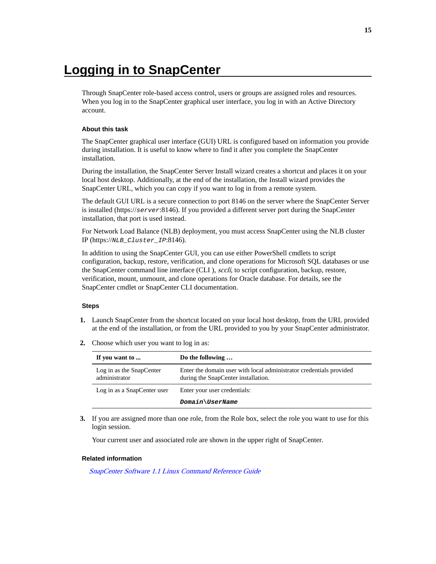# <span id="page-14-0"></span>**Logging in to SnapCenter**

Through SnapCenter role-based access control, users or groups are assigned roles and resources. When you log in to the SnapCenter graphical user interface, you log in with an Active Directory account.

### **About this task**

The SnapCenter graphical user interface (GUI) URL is configured based on information you provide during installation. It is useful to know where to find it after you complete the SnapCenter installation.

During the installation, the SnapCenter Server Install wizard creates a shortcut and places it on your local host desktop. Additionally, at the end of the installation, the Install wizard provides the SnapCenter URL, which you can copy if you want to log in from a remote system.

The default GUI URL is a secure connection to port 8146 on the server where the SnapCenter Server is installed (https://server:8146). If you provided a different server port during the SnapCenter installation, that port is used instead.

For Network Load Balance (NLB) deployment, you must access SnapCenter using the NLB cluster IP (https://NLB\_Cluster\_IP:8146).

In addition to using the SnapCenter GUI, you can use either PowerShell cmdlets to script configuration, backup, restore, verification, and clone operations for Microsoft SQL databases or use the SnapCenter command line interface (CLI ), sccli, to script configuration, backup, restore, verification, mount, unmount, and clone operations for Oracle database. For details, see the SnapCenter cmdlet or SnapCenter CLI documentation.

#### **Steps**

- **1.** Launch SnapCenter from the shortcut located on your local host desktop, from the URL provided at the end of the installation, or from the URL provided to you by your SnapCenter administrator.
- **2.** Choose which user you want to log in as:

| If you want to                            | Do the following                                                                                           |
|-------------------------------------------|------------------------------------------------------------------------------------------------------------|
| Log in as the SnapCenter<br>administrator | Enter the domain user with local administrator credentials provided<br>during the SnapCenter installation. |
| Log in as a SnapCenter user               | Enter your user credentials:                                                                               |
|                                           | Domain\UserName                                                                                            |

**3.** If you are assigned more than one role, from the Role box, select the role you want to use for this login session.

Your current user and associated role are shown in the upper right of SnapCenter.

#### **Related information**

[SnapCenter Software 1.1 Linux Command Reference Guide](https://library.netapp.com/ecm/ecm_download_file/ECMLP2440332)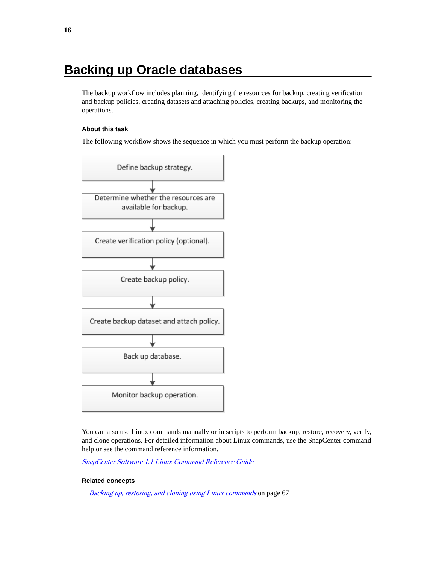# <span id="page-15-0"></span>**Backing up Oracle databases**

The backup workflow includes planning, identifying the resources for backup, creating verification and backup policies, creating datasets and attaching policies, creating backups, and monitoring the operations.

# **About this task**

The following workflow shows the sequence in which you must perform the backup operation:



You can also use Linux commands manually or in scripts to perform backup, restore, recovery, verify, and clone operations. For detailed information about Linux commands, use the SnapCenter command help or see the command reference information.

[SnapCenter Software 1.1 Linux Command Reference Guide](https://library.netapp.com/ecm/ecm_download_file/ECMLP2440332)

### **Related concepts**

[Backing up, restoring, and cloning using Linux commands](#page-66-0) on page 67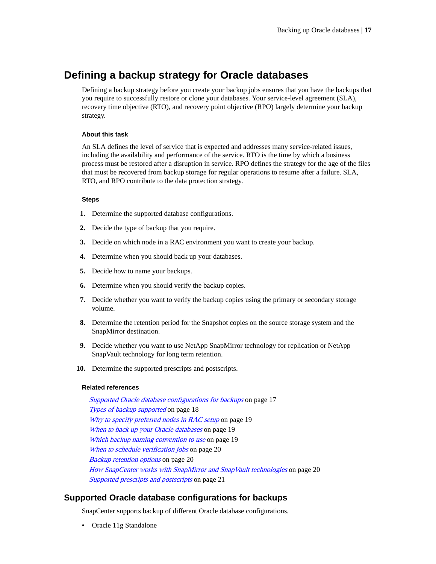# <span id="page-16-0"></span>**Defining a backup strategy for Oracle databases**

Defining a backup strategy before you create your backup jobs ensures that you have the backups that you require to successfully restore or clone your databases. Your service-level agreement (SLA), recovery time objective (RTO), and recovery point objective (RPO) largely determine your backup strategy.

### **About this task**

An SLA defines the level of service that is expected and addresses many service-related issues, including the availability and performance of the service. RTO is the time by which a business process must be restored after a disruption in service. RPO defines the strategy for the age of the files that must be recovered from backup storage for regular operations to resume after a failure. SLA, RTO, and RPO contribute to the data protection strategy.

### **Steps**

- **1.** Determine the supported database configurations.
- **2.** Decide the type of backup that you require.
- **3.** Decide on which node in a RAC environment you want to create your backup.
- **4.** Determine when you should back up your databases.
- **5.** Decide how to name your backups.
- **6.** Determine when you should verify the backup copies.
- **7.** Decide whether you want to verify the backup copies using the primary or secondary storage volume.
- **8.** Determine the retention period for the Snapshot copies on the source storage system and the SnapMirror destination.
- **9.** Decide whether you want to use NetApp SnapMirror technology for replication or NetApp SnapVault technology for long term retention.
- **10.** Determine the supported prescripts and postscripts.

## **Related references**

Supported Oracle database configurations for backups on page 17 [Types of backup supported](#page-17-0) on page 18 [Why to specify preferred nodes in RAC setup](#page-18-0) on page 19 [When to back up your Oracle databases](#page-18-0) on page 19 [Which backup naming convention to use](#page-18-0) on page 19 [When to schedule verification jobs](#page-19-0) on page 20 [Backup retention options](#page-19-0) on page 20 [How SnapCenter works with SnapMirror and SnapVault technologies](#page-19-0) on page 20 [Supported prescripts and postscripts](#page-20-0) on page 21

# **Supported Oracle database configurations for backups**

SnapCenter supports backup of different Oracle database configurations.

• Oracle 11g Standalone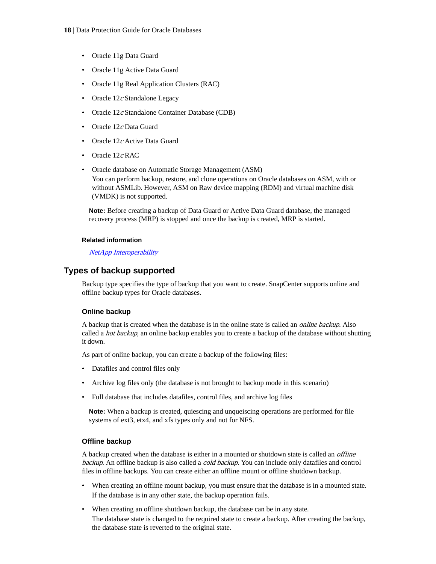- <span id="page-17-0"></span>• Oracle 11g Data Guard
- Oracle 11g Active Data Guard
- Oracle 11g Real Application Clusters (RAC)
- Oracle 12c Standalone Legacy
- Oracle 12c Standalone Container Database (CDB)
- Oracle 12c Data Guard
- Oracle 12c Active Data Guard
- Oracle  $12c$  RAC
- Oracle database on Automatic Storage Management (ASM)

You can perform backup, restore, and clone operations on Oracle databases on ASM, with or without ASMLib. However, ASM on Raw device mapping (RDM) and virtual machine disk (VMDK) is not supported.

**Note:** Before creating a backup of Data Guard or Active Data Guard database, the managed recovery process (MRP) is stopped and once the backup is created, MRP is started.

# **Related information**

# [NetApp Interoperability](https://mysupport.netapp.com/NOW/products/interoperability)

# **Types of backup supported**

Backup type specifies the type of backup that you want to create. SnapCenter supports online and offline backup types for Oracle databases.

# **Online backup**

A backup that is created when the database is in the online state is called an online backup. Also called a *hot backup*, an online backup enables you to create a backup of the database without shutting it down.

As part of online backup, you can create a backup of the following files:

- Datafiles and control files only
- Archive log files only (the database is not brought to backup mode in this scenario)
- Full database that includes datafiles, control files, and archive log files

**Note:** When a backup is created, quiescing and unqueiscing operations are performed for file systems of ext3, etx4, and xfs types only and not for NFS.

# **Offline backup**

A backup created when the database is either in a mounted or shutdown state is called an offline backup. An offline backup is also called a cold backup. You can include only datafiles and control files in offline backups. You can create either an offline mount or offline shutdown backup.

- When creating an offline mount backup, you must ensure that the database is in a mounted state. If the database is in any other state, the backup operation fails.
- When creating an offline shutdown backup, the database can be in any state. The database state is changed to the required state to create a backup. After creating the backup, the database state is reverted to the original state.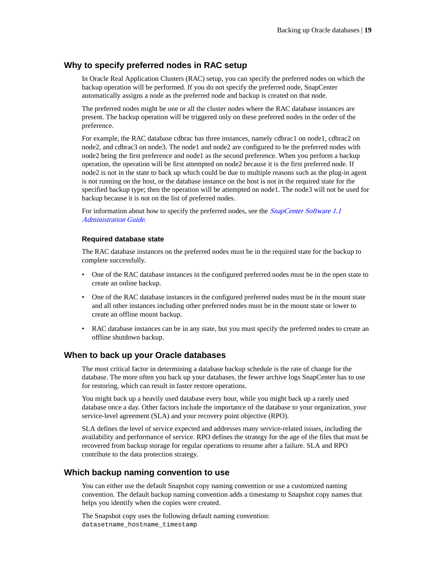# <span id="page-18-0"></span>**Why to specify preferred nodes in RAC setup**

In Oracle Real Application Clusters (RAC) setup, you can specify the preferred nodes on which the backup operation will be performed. If you do not specify the preferred node, SnapCenter automatically assigns a node as the preferred node and backup is created on that node.

The preferred nodes might be one or all the cluster nodes where the RAC database instances are present. The backup operation will be triggered only on these preferred nodes in the order of the preference.

For example, the RAC database cdbrac has three instances, namely cdbrac1 on node1, cdbrac2 on node2, and cdbrac3 on node3. The node1 and node2 are configured to be the preferred nodes with node2 being the first preference and node1 as the second preference. When you perform a backup operation, the operation will be first attempted on node2 because it is the first preferred node. If node2 is not in the state to back up which could be due to multiple reasons such as the plug-in agent is not running on the host, or the database instance on the host is not in the required state for the specified backup type; then the operation will be attempted on node1. The node3 will not be used for backup because it is not on the list of preferred nodes.

For information about how to specify the preferred nodes, see the *[SnapCenter Software 1.1](https://library.netapp.com/ecm/ecm_download_file/ECMLP2439718)* [Administration Guide](https://library.netapp.com/ecm/ecm_download_file/ECMLP2439718).

### **Required database state**

The RAC database instances on the preferred nodes must be in the required state for the backup to complete successfully.

- One of the RAC database instances in the configured preferred nodes must be in the open state to create an online backup.
- One of the RAC database instances in the configured preferred nodes must be in the mount state and all other instances including other preferred nodes must be in the mount state or lower to create an offline mount backup.
- RAC database instances can be in any state, but you must specify the preferred nodes to create an offline shutdown backup.

# **When to back up your Oracle databases**

The most critical factor in determining a database backup schedule is the rate of change for the database. The more often you back up your databases, the fewer archive logs SnapCenter has to use for restoring, which can result in faster restore operations.

You might back up a heavily used database every hour, while you might back up a rarely used database once a day. Other factors include the importance of the database to your organization, your service-level agreement (SLA) and your recovery point objective (RPO).

SLA defines the level of service expected and addresses many service-related issues, including the availability and performance of service. RPO defines the strategy for the age of the files that must be recovered from backup storage for regular operations to resume after a failure. SLA and RPO contribute to the data protection strategy.

# **Which backup naming convention to use**

You can either use the default Snapshot copy naming convention or use a customized naming convention. The default backup naming convention adds a timestamp to Snapshot copy names that helps you identify when the copies were created.

The Snapshot copy uses the following default naming convention: datasetname\_hostname\_timestamp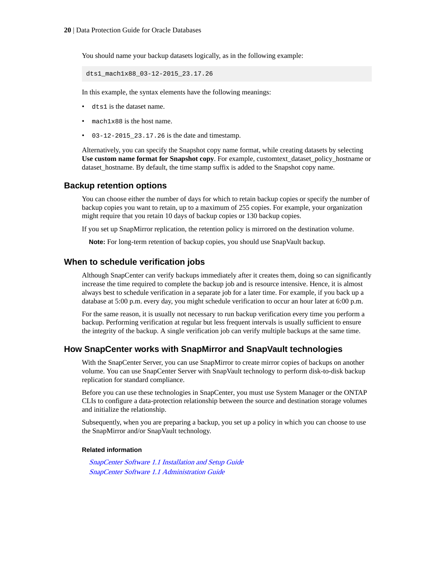<span id="page-19-0"></span>You should name your backup datasets logically, as in the following example:

dts1\_mach1x88\_03-12-2015\_23.17.26

In this example, the syntax elements have the following meanings:

- dts1 is the dataset name.
- mach1x88 is the host name.
- $\cdot$  03-12-2015 23.17.26 is the date and timestamp.

Alternatively, you can specify the Snapshot copy name format, while creating datasets by selecting **Use custom name format for Snapshot copy**. For example, customtext\_dataset\_policy\_hostname or dataset\_hostname. By default, the time stamp suffix is added to the Snapshot copy name.

# **Backup retention options**

You can choose either the number of days for which to retain backup copies or specify the number of backup copies you want to retain, up to a maximum of 255 copies. For example, your organization might require that you retain 10 days of backup copies or 130 backup copies.

If you set up SnapMirror replication, the retention policy is mirrored on the destination volume.

**Note:** For long-term retention of backup copies, you should use SnapVault backup.

# **When to schedule verification jobs**

Although SnapCenter can verify backups immediately after it creates them, doing so can significantly increase the time required to complete the backup job and is resource intensive. Hence, it is almost always best to schedule verification in a separate job for a later time. For example, if you back up a database at 5:00 p.m. every day, you might schedule verification to occur an hour later at 6:00 p.m.

For the same reason, it is usually not necessary to run backup verification every time you perform a backup. Performing verification at regular but less frequent intervals is usually sufficient to ensure the integrity of the backup. A single verification job can verify multiple backups at the same time.

# **How SnapCenter works with SnapMirror and SnapVault technologies**

With the SnapCenter Server, you can use SnapMirror to create mirror copies of backups on another volume. You can use SnapCenter Server with SnapVault technology to perform disk-to-disk backup replication for standard compliance.

Before you can use these technologies in SnapCenter, you must use System Manager or the ONTAP CLIs to configure a data-protection relationship between the source and destination storage volumes and initialize the relationship.

Subsequently, when you are preparing a backup, you set up a policy in which you can choose to use the SnapMirror and/or SnapVault technology.

### **Related information**

[SnapCenter Software 1.1 Installation and Setup Guide](https://library.netapp.com/ecm/ecm_download_file/ECMLP2440193) [SnapCenter Software 1.1 Administration Guide](https://library.netapp.com/ecm/ecm_download_file/ECMLP2439718)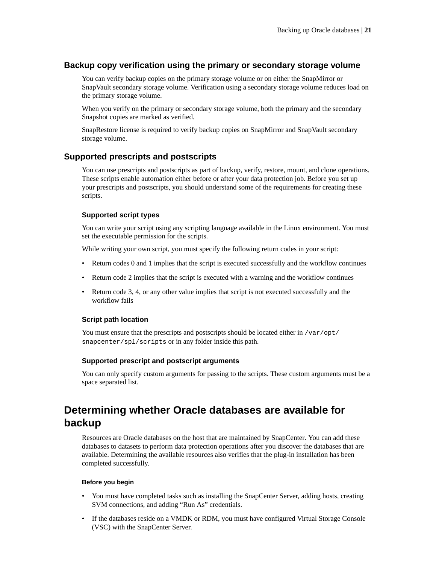# <span id="page-20-0"></span>**Backup copy verification using the primary or secondary storage volume**

You can verify backup copies on the primary storage volume or on either the SnapMirror or SnapVault secondary storage volume. Verification using a secondary storage volume reduces load on the primary storage volume.

When you verify on the primary or secondary storage volume, both the primary and the secondary Snapshot copies are marked as verified.

SnapRestore license is required to verify backup copies on SnapMirror and SnapVault secondary storage volume.

# **Supported prescripts and postscripts**

You can use prescripts and postscripts as part of backup, verify, restore, mount, and clone operations. These scripts enable automation either before or after your data protection job. Before you set up your prescripts and postscripts, you should understand some of the requirements for creating these scripts.

## **Supported script types**

You can write your script using any scripting language available in the Linux environment. You must set the executable permission for the scripts.

While writing your own script, you must specify the following return codes in your script:

- Return codes 0 and 1 implies that the script is executed successfully and the workflow continues
- Return code 2 implies that the script is executed with a warning and the workflow continues
- Return code 3, 4, or any other value implies that script is not executed successfully and the workflow fails

### **Script path location**

You must ensure that the prescripts and postscripts should be located either in /var/opt/ snapcenter/spl/scripts or in any folder inside this path.

# **Supported prescript and postscript arguments**

You can only specify custom arguments for passing to the scripts. These custom arguments must be a space separated list.

# **Determining whether Oracle databases are available for backup**

Resources are Oracle databases on the host that are maintained by SnapCenter. You can add these databases to datasets to perform data protection operations after you discover the databases that are available. Determining the available resources also verifies that the plug-in installation has been completed successfully.

### **Before you begin**

- You must have completed tasks such as installing the SnapCenter Server, adding hosts, creating SVM connections, and adding "Run As" credentials.
- If the databases reside on a VMDK or RDM, you must have configured Virtual Storage Console (VSC) with the SnapCenter Server.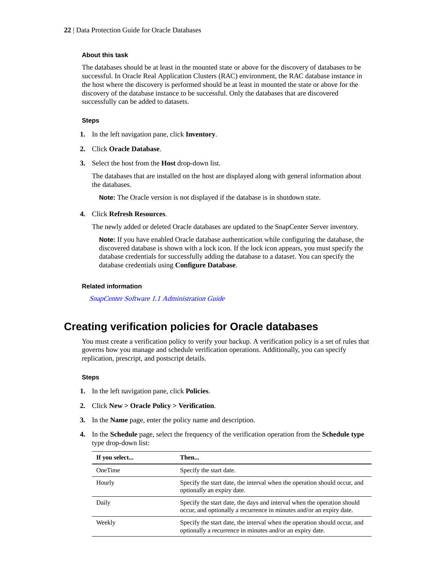## <span id="page-21-0"></span>**About this task**

The databases should be at least in the mounted state or above for the discovery of databases to be successful. In Oracle Real Application Clusters (RAC) environment, the RAC database instance in the host where the discovery is performed should be at least in mounted the state or above for the discovery of the database instance to be successful. Only the databases that are discovered successfully can be added to datasets.

# **Steps**

- **1.** In the left navigation pane, click **Inventory**.
- **2.** Click **Oracle Database**.
- **3.** Select the host from the **Host** drop-down list.

The databases that are installed on the host are displayed along with general information about the databases.

**Note:** The Oracle version is not displayed if the database is in shutdown state.

# **4.** Click **Refresh Resources**.

The newly added or deleted Oracle databases are updated to the SnapCenter Server inventory.

**Note:** If you have enabled Oracle database authentication while configuring the database, the discovered database is shown with a lock icon. If the lock icon appears, you must specify the database credentials for successfully adding the database to a dataset. You can specify the database credentials using **Configure Database**.

# **Related information**

[SnapCenter Software 1.1 Administration Guide](https://library.netapp.com/ecm/ecm_download_file/ECMLP2439718)

# **Creating verification policies for Oracle databases**

You must create a verification policy to verify your backup. A verification policy is a set of rules that governs how you manage and schedule verification operations. Additionally, you can specify replication, prescript, and postscript details.

### **Steps**

- **1.** In the left navigation pane, click **Policies**.
- **2.** Click **New > Oracle Policy > Verification**.
- **3.** In the **Name** page, enter the policy name and description.
- **4.** In the **Schedule** page, select the frequency of the verification operation from the **Schedule type** type drop-down list:

| If you select  | Then                                                                                                                                            |
|----------------|-------------------------------------------------------------------------------------------------------------------------------------------------|
| <b>OneTime</b> | Specify the start date.                                                                                                                         |
| Hourly         | Specify the start date, the interval when the operation should occur, and<br>optionally an expiry date.                                         |
| Daily          | Specify the start date, the days and interval when the operation should<br>occur, and optionally a recurrence in minutes and/or an expiry date. |
| Weekly         | Specify the start date, the interval when the operation should occur, and<br>optionally a recurrence in minutes and/or an expiry date.          |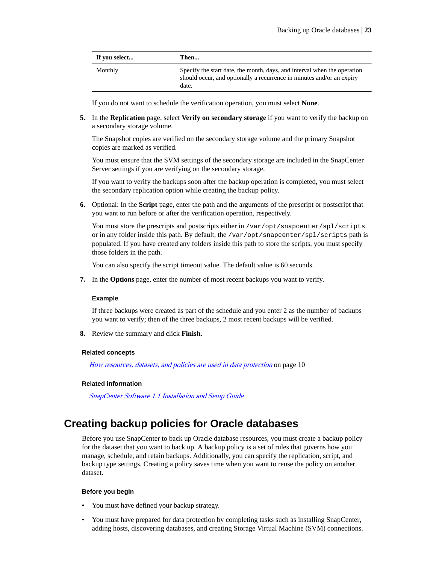<span id="page-22-0"></span>

| If you select | Then                                                                                                                                                       |
|---------------|------------------------------------------------------------------------------------------------------------------------------------------------------------|
| Monthly       | Specify the start date, the month, days, and interval when the operation<br>should occur, and optionally a recurrence in minutes and/or an expiry<br>date. |

If you do not want to schedule the verification operation, you must select **None**.

**5.** In the **Replication** page, select **Verify on secondary storage** if you want to verify the backup on a secondary storage volume.

The Snapshot copies are verified on the secondary storage volume and the primary Snapshot copies are marked as verified.

You must ensure that the SVM settings of the secondary storage are included in the SnapCenter Server settings if you are verifying on the secondary storage.

If you want to verify the backups soon after the backup operation is completed, you must select the secondary replication option while creating the backup policy.

**6.** Optional: In the **Script** page, enter the path and the arguments of the prescript or postscript that you want to run before or after the verification operation, respectively.

You must store the prescripts and postscripts either in /var/opt/snapcenter/spl/scripts or in any folder inside this path. By default, the /var/opt/snapcenter/spl/scripts path is populated. If you have created any folders inside this path to store the scripts, you must specify those folders in the path.

You can also specify the script timeout value. The default value is 60 seconds.

**7.** In the **Options** page, enter the number of most recent backups you want to verify.

### **Example**

If three backups were created as part of the schedule and you enter 2 as the number of backups you want to verify; then of the three backups, 2 most recent backups will be verified.

**8.** Review the summary and click **Finish**.

#### **Related concepts**

[How resources, datasets, and policies are used in data protection](#page-9-0) on page 10

#### **Related information**

[SnapCenter Software 1.1 Installation and Setup Guide](https://library.netapp.com/ecm/ecm_download_file/ECMLP2440193)

# **Creating backup policies for Oracle databases**

Before you use SnapCenter to back up Oracle database resources, you must create a backup policy for the dataset that you want to back up. A backup policy is a set of rules that governs how you manage, schedule, and retain backups. Additionally, you can specify the replication, script, and backup type settings. Creating a policy saves time when you want to reuse the policy on another dataset.

#### **Before you begin**

- You must have defined your backup strategy.
- You must have prepared for data protection by completing tasks such as installing SnapCenter, adding hosts, discovering databases, and creating Storage Virtual Machine (SVM) connections.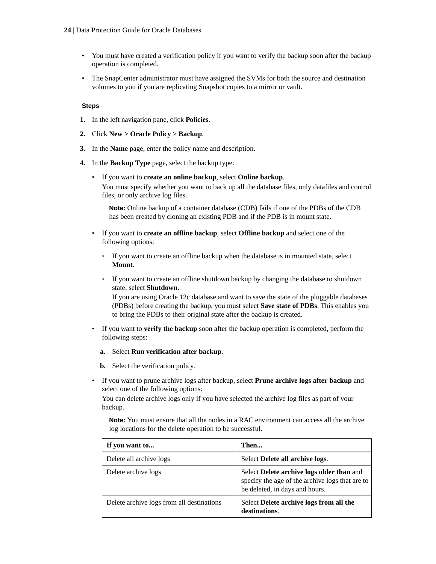- You must have created a verification policy if you want to verify the backup soon after the backup operation is completed.
- The SnapCenter administrator must have assigned the SVMs for both the source and destination volumes to you if you are replicating Snapshot copies to a mirror or vault.

### **Steps**

- **1.** In the left navigation pane, click **Policies**.
- **2.** Click **New > Oracle Policy > Backup**.
- **3.** In the **Name** page, enter the policy name and description.
- **4.** In the **Backup Type** page, select the backup type:
	- If you want to **create an online backup**, select **Online backup**. You must specify whether you want to back up all the database files, only datafiles and control files, or only archive log files.

**Note:** Online backup of a container database (CDB) fails if one of the PDBs of the CDB has been created by cloning an existing PDB and if the PDB is in mount state.

- If you want to **create an offline backup**, select **Offline backup** and select one of the following options:
	- If you want to create an offline backup when the database is in mounted state, select **Mount**.
	- If you want to create an offline shutdown backup by changing the database to shutdown state, select **Shutdown**.

If you are using Oracle 12c database and want to save the state of the pluggable databases (PDBs) before creating the backup, you must select **Save state of PDBs**. This enables you to bring the PDBs to their original state after the backup is created.

- If you want to **verify the backup** soon after the backup operation is completed, perform the following steps:
	- **a.** Select **Run verification after backup**.

**b.** Select the verification policy.

• If you want to prune archive logs after backup, select **Prune archive logs after backup** and select one of the following options:

You can delete archive logs only if you have selected the archive log files as part of your backup.

**Note:** You must ensure that all the nodes in a RAC environment can access all the archive log locations for the delete operation to be successful.

| If you want to                            | Then                                                                                                                           |
|-------------------------------------------|--------------------------------------------------------------------------------------------------------------------------------|
| Delete all archive logs                   | Select Delete all archive logs.                                                                                                |
| Delete archive logs                       | Select Delete archive logs older than and<br>specify the age of the archive logs that are to<br>be deleted, in days and hours. |
| Delete archive logs from all destinations | Select Delete archive logs from all the<br>destinations.                                                                       |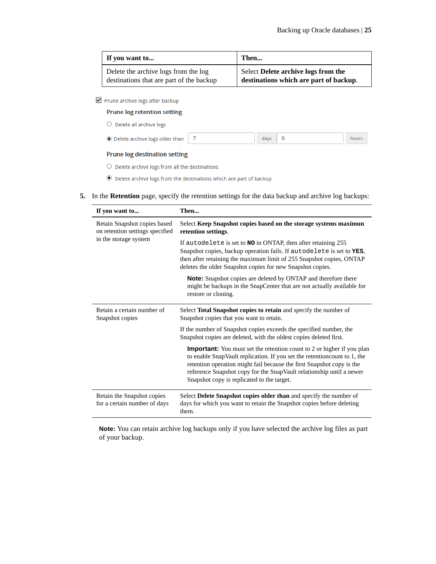| If you want to                           | Then                                   |
|------------------------------------------|----------------------------------------|
| Delete the archive logs from the log     | Select Delete archive logs from the    |
| destinations that are part of the backup | destinations which are part of backup. |

Prune archive logs after backup

**Prune log retention setting** 

 $\bigcirc$  Delete all archive logs

| ◉ Delete archive logs older than |  | $days$ 0 |  | hours |
|----------------------------------|--|----------|--|-------|
|----------------------------------|--|----------|--|-------|

### **Prune log destination setting**

 $\bigcirc$  Delete archive logs from all the destinations

 $\textcircled{\small 0}$  Delete archive logs from the destinations which are part of backup

**5.** In the **Retention** page, specify the retention settings for the data backup and archive log backups:

| If you want to                                                  | Then                                                                                                                                                                                                                                                                                                                                                     |  |
|-----------------------------------------------------------------|----------------------------------------------------------------------------------------------------------------------------------------------------------------------------------------------------------------------------------------------------------------------------------------------------------------------------------------------------------|--|
| Retain Snapshot copies based<br>on retention settings specified | Select Keep Snapshot copies based on the storage systems maximun<br>retention settings.                                                                                                                                                                                                                                                                  |  |
| in the storage system                                           | If autodelete is set to <b>NO</b> in ONTAP, then after retaining 255<br>Snapshot copies, backup operation fails. If autodelete is set to YES,<br>then after retaining the maximum limit of 255 Snapshot copies, ONTAP<br>deletes the older Snapshot copies for new Snapshot copies.                                                                      |  |
|                                                                 | <b>Note:</b> Snapshot copies are deleted by ONTAP and therefore there<br>might be backups in the SnapCenter that are not actually available for<br>restore or cloning.                                                                                                                                                                                   |  |
| Retain a certain number of<br>Snapshot copies                   | Select Total Snapshot copies to retain and specify the number of<br>Snapshot copies that you want to retain.                                                                                                                                                                                                                                             |  |
|                                                                 | If the number of Snapshot copies exceeds the specified number, the<br>Snapshot copies are deleted, with the oldest copies deleted first.                                                                                                                                                                                                                 |  |
|                                                                 | <b>Important:</b> You must set the retention count to 2 or higher if you plan<br>to enable SnapVault replication. If you set the retentioncount to 1, the<br>retention operation might fail because the first Snapshot copy is the<br>reference Snapshot copy for the SnapVault relationship until a newer<br>Snapshot copy is replicated to the target. |  |
| Retain the Snapshot copies<br>for a certain number of days      | Select Delete Snapshot copies older than and specify the number of<br>days for which you want to retain the Snapshot copies before deleting<br>them.                                                                                                                                                                                                     |  |

**Note:** You can retain archive log backups only if you have selected the archive log files as part of your backup.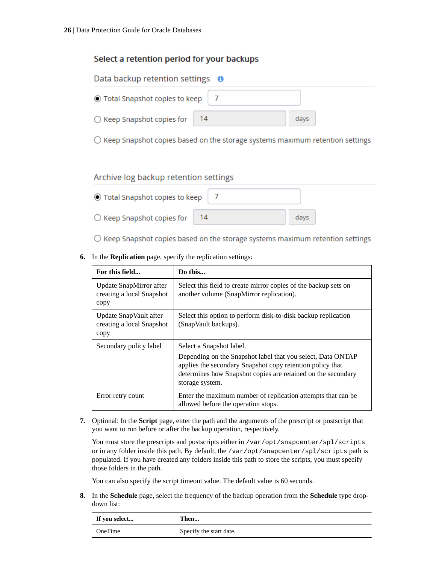# Select a retention period for your backups

| Data backup retention settings $\theta$   |  |      |  |  |
|-------------------------------------------|--|------|--|--|
| ◉ Total Snapshot copies to keep           |  |      |  |  |
| $\bigcirc$ Keep Snapshot copies for<br>14 |  | days |  |  |

 $\bigcirc$  Keep Snapshot copies based on the storage systems maximum retention settings

# Archive log backup retention settings

| ◯ Total Snapshot copies to keep     |      |
|-------------------------------------|------|
| $\bigcirc$ Keep Snapshot copies for | days |

 $\bigcirc$  Keep Snapshot copies based on the storage systems maximum retention settings

**6.** In the **Replication** page, specify the replication settings:

| For this field                                               | Do this                                                                                                                                                                                                                                 |
|--------------------------------------------------------------|-----------------------------------------------------------------------------------------------------------------------------------------------------------------------------------------------------------------------------------------|
| Update SnapMirror after<br>creating a local Snapshot<br>copy | Select this field to create mirror copies of the backup sets on<br>another volume (SnapMirror replication).                                                                                                                             |
| Update SnapVault after<br>creating a local Snapshot<br>copy  | Select this option to perform disk-to-disk backup replication<br>(SnapVault backups).                                                                                                                                                   |
| Secondary policy label                                       | Select a Snapshot label.<br>Depending on the Snapshot label that you select, Data ONTAP<br>applies the secondary Snapshot copy retention policy that<br>determines how Snapshot copies are retained on the secondary<br>storage system. |
| Error retry count                                            | Enter the maximum number of replication attempts that can be.<br>allowed before the operation stops.                                                                                                                                    |

**7.** Optional: In the **Script** page, enter the path and the arguments of the prescript or postscript that you want to run before or after the backup operation, respectively.

You must store the prescripts and postscripts either in /var/opt/snapcenter/spl/scripts or in any folder inside this path. By default, the /var/opt/snapcenter/spl/scripts path is populated. If you have created any folders inside this path to store the scripts, you must specify those folders in the path.

You can also specify the script timeout value. The default value is 60 seconds.

**8.** In the **Schedule** page, select the frequency of the backup operation from the **Schedule** type dropdown list:

| If you select | Then                    |
|---------------|-------------------------|
| OneTime       | Specify the start date. |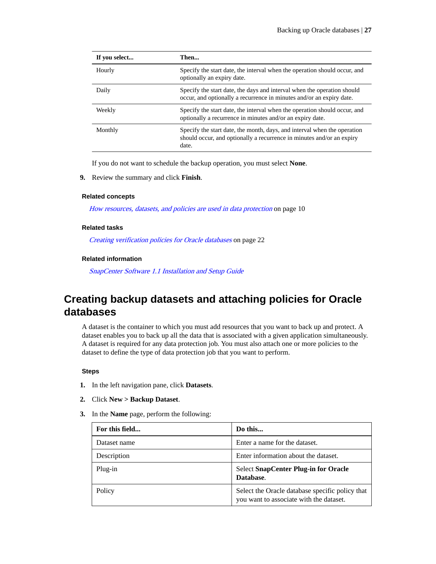<span id="page-26-0"></span>

| If you select | Then                                                                                                                                                       |
|---------------|------------------------------------------------------------------------------------------------------------------------------------------------------------|
| Hourly        | Specify the start date, the interval when the operation should occur, and<br>optionally an expiry date.                                                    |
| Daily         | Specify the start date, the days and interval when the operation should<br>occur, and optionally a recurrence in minutes and/or an expiry date.            |
| Weekly        | Specify the start date, the interval when the operation should occur, and<br>optionally a recurrence in minutes and/or an expiry date.                     |
| Monthly       | Specify the start date, the month, days, and interval when the operation<br>should occur, and optionally a recurrence in minutes and/or an expiry<br>date. |

If you do not want to schedule the backup operation, you must select **None**.

**9.** Review the summary and click **Finish**.

#### **Related concepts**

[How resources, datasets, and policies are used in data protection](#page-9-0) on page 10

#### **Related tasks**

[Creating verification policies for Oracle databases](#page-21-0) on page 22

### **Related information**

[SnapCenter Software 1.1 Installation and Setup Guide](https://library.netapp.com/ecm/ecm_download_file/ECMLP2440193)

# **Creating backup datasets and attaching policies for Oracle databases**

A dataset is the container to which you must add resources that you want to back up and protect. A dataset enables you to back up all the data that is associated with a given application simultaneously. A dataset is required for any data protection job. You must also attach one or more policies to the dataset to define the type of data protection job that you want to perform.

### **Steps**

- **1.** In the left navigation pane, click **Datasets**.
- **2.** Click **New > Backup Dataset**.
- **3.** In the **Name** page, perform the following:

| For this field | Do this                                                                                    |
|----------------|--------------------------------------------------------------------------------------------|
| Dataset name   | Enter a name for the dataset.                                                              |
| Description    | Enter information about the dataset.                                                       |
| Plug-in        | <b>Select SnapCenter Plug-in for Oracle</b><br>Database.                                   |
| Policy         | Select the Oracle database specific policy that<br>you want to associate with the dataset. |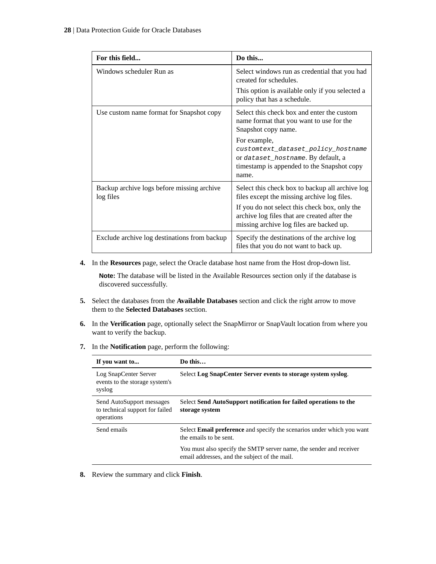| For this field                                          | Do this                                                                                                                                                                                                                                     |
|---------------------------------------------------------|---------------------------------------------------------------------------------------------------------------------------------------------------------------------------------------------------------------------------------------------|
| Windows scheduler Run as                                | Select windows run as credential that you had<br>created for schedules.                                                                                                                                                                     |
|                                                         | This option is available only if you selected a<br>policy that has a schedule.                                                                                                                                                              |
| Use custom name format for Snapshot copy                | Select this check box and enter the custom<br>name format that you want to use for the<br>Snapshot copy name.                                                                                                                               |
|                                                         | For example,<br>customtext dataset policy hostname<br>or dataset_hostname. By default, a<br>timestamp is appended to the Snapshot copy<br>name.                                                                                             |
| Backup archive logs before missing archive<br>log files | Select this check box to backup all archive log<br>files except the missing archive log files.<br>If you do not select this check box, only the<br>archive log files that are created after the<br>missing archive log files are backed up. |
| Exclude archive log destinations from backup            | Specify the destinations of the archive log<br>files that you do not want to back up.                                                                                                                                                       |

**4.** In the **Resources** page, select the Oracle database host name from the Host drop-down list.

**Note:** The database will be listed in the Available Resources section only if the database is discovered successfully.

- **5.** Select the databases from the **Available Databases** section and click the right arrow to move them to the **Selected Databases** section.
- **6.** In the **Verification** page, optionally select the SnapMirror or SnapVault location from where you want to verify the backup.
- **7.** In the **Notification** page, perform the following:

| If you want to                                                             | Do this                                                                                                              |
|----------------------------------------------------------------------------|----------------------------------------------------------------------------------------------------------------------|
| Log SnapCenter Server<br>events to the storage system's<br>syslog          | Select Log SnapCenter Server events to storage system syslog.                                                        |
| Send AutoSupport messages<br>to technical support for failed<br>operations | Select Send AutoSupport notification for failed operations to the<br>storage system                                  |
| Send emails                                                                | Select <b>Email preference</b> and specify the scenarios under which you want<br>the emails to be sent.              |
|                                                                            | You must also specify the SMTP server name, the sender and receiver<br>email addresses, and the subject of the mail. |

**8.** Review the summary and click **Finish**.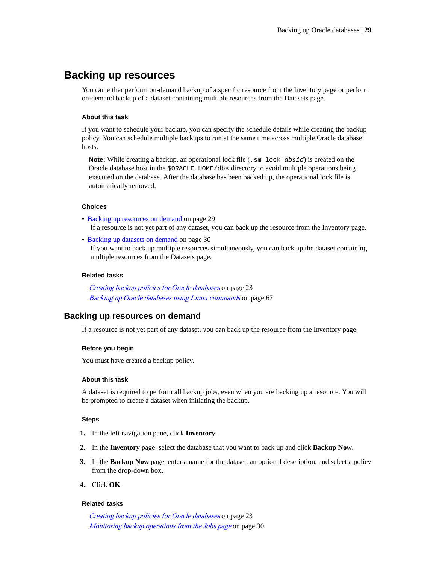# <span id="page-28-0"></span>**Backing up resources**

You can either perform on-demand backup of a specific resource from the Inventory page or perform on-demand backup of a dataset containing multiple resources from the Datasets page.

# **About this task**

If you want to schedule your backup, you can specify the schedule details while creating the backup policy. You can schedule multiple backups to run at the same time across multiple Oracle database hosts.

**Note:** While creating a backup, an operational lock file (. sm lock *dbsid*) is created on the Oracle database host in the \$ORACLE\_HOME/dbs directory to avoid multiple operations being executed on the database. After the database has been backed up, the operational lock file is automatically removed.

### **Choices**

- Backing up resources on demand on page 29 If a resource is not yet part of any dataset, you can back up the resource from the Inventory page.
- [Backing up datasets on demand](#page-29-0) on page 30 If you want to back up multiple resources simultaneously, you can back up the dataset containing multiple resources from the Datasets page.

### **Related tasks**

[Creating backup policies for Oracle databases](#page-22-0) on page 23 [Backing up Oracle databases using Linux commands](#page-66-0) on page 67

# **Backing up resources on demand**

If a resource is not yet part of any dataset, you can back up the resource from the Inventory page.

#### **Before you begin**

You must have created a backup policy.

### **About this task**

A dataset is required to perform all backup jobs, even when you are backing up a resource. You will be prompted to create a dataset when initiating the backup.

### **Steps**

- **1.** In the left navigation pane, click **Inventory**.
- **2.** In the **Inventory** page. select the database that you want to back up and click **Backup Now**.
- **3.** In the **Backup Now** page, enter a name for the dataset, an optional description, and select a policy from the drop-down box.
- **4.** Click **OK**.

#### **Related tasks**

[Creating backup policies for Oracle databases](#page-22-0) on page 23 [Monitoring backup operations from the Jobs page](#page-29-0) on page 30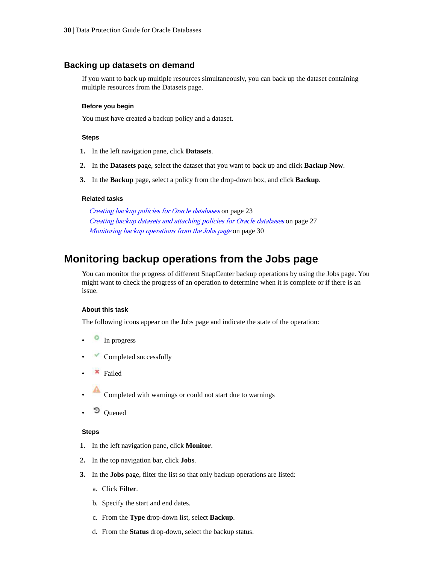# <span id="page-29-0"></span>**Backing up datasets on demand**

If you want to back up multiple resources simultaneously, you can back up the dataset containing multiple resources from the Datasets page.

### **Before you begin**

You must have created a backup policy and a dataset.

### **Steps**

- **1.** In the left navigation pane, click **Datasets**.
- **2.** In the **Datasets** page, select the dataset that you want to back up and click **Backup Now**.
- **3.** In the **Backup** page, select a policy from the drop-down box, and click **Backup**.

### **Related tasks**

[Creating backup policies for Oracle databases](#page-22-0) on page 23 [Creating backup datasets and attaching policies for Oracle databases](#page-26-0) on page 27 Monitoring backup operations from the Jobs page on page 30

# **Monitoring backup operations from the Jobs page**

You can monitor the progress of different SnapCenter backup operations by using the Jobs page. You might want to check the progress of an operation to determine when it is complete or if there is an issue.

# **About this task**

The following icons appear on the Jobs page and indicate the state of the operation:

- In progress
- $\blacktriangleright$  Completed successfully
- \* Failed
- Completed with warnings or could not start due to warnings
- Queued

#### **Steps**

- **1.** In the left navigation pane, click **Monitor**.
- **2.** In the top navigation bar, click **Jobs**.
- **3.** In the **Jobs** page, filter the list so that only backup operations are listed:
	- a. Click **Filter**.
	- b. Specify the start and end dates.
	- c. From the **Type** drop-down list, select **Backup**.
	- d. From the **Status** drop-down, select the backup status.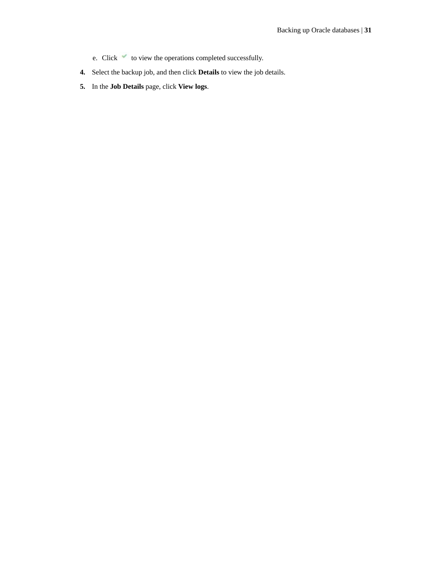- e. Click  $\checkmark$  to view the operations completed successfully.
- **4.** Select the backup job, and then click **Details** to view the job details.
- **5.** In the **Job Details** page, click **View logs**.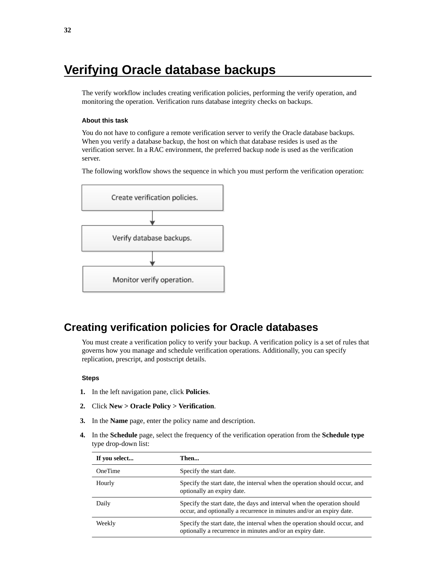# <span id="page-31-0"></span>**Verifying Oracle database backups**

The verify workflow includes creating verification policies, performing the verify operation, and monitoring the operation. Verification runs database integrity checks on backups.

### **About this task**

You do not have to configure a remote verification server to verify the Oracle database backups. When you verify a database backup, the host on which that database resides is used as the verification server. In a RAC environment, the preferred backup node is used as the verification server.

The following workflow shows the sequence in which you must perform the verification operation:



# **Creating verification policies for Oracle databases**

You must create a verification policy to verify your backup. A verification policy is a set of rules that governs how you manage and schedule verification operations. Additionally, you can specify replication, prescript, and postscript details.

### **Steps**

- **1.** In the left navigation pane, click **Policies**.
- **2.** Click **New > Oracle Policy > Verification**.
- **3.** In the **Name** page, enter the policy name and description.
- **4.** In the **Schedule** page, select the frequency of the verification operation from the **Schedule type** type drop-down list:

| If you select  | Then                                                                                                                                            |
|----------------|-------------------------------------------------------------------------------------------------------------------------------------------------|
| <b>OneTime</b> | Specify the start date.                                                                                                                         |
| Hourly         | Specify the start date, the interval when the operation should occur, and<br>optionally an expiry date.                                         |
| Daily          | Specify the start date, the days and interval when the operation should<br>occur, and optionally a recurrence in minutes and/or an expiry date. |
| Weekly         | Specify the start date, the interval when the operation should occur, and<br>optionally a recurrence in minutes and/or an expiry date.          |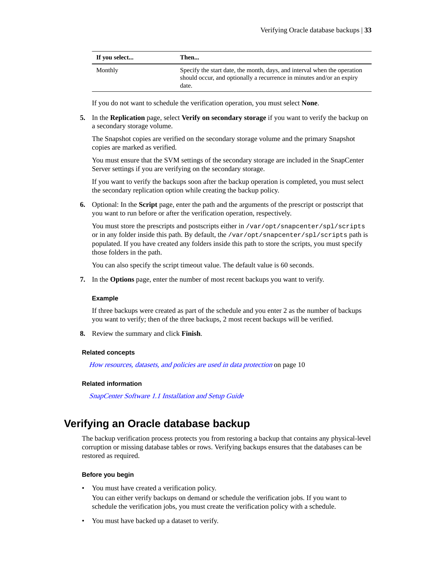<span id="page-32-0"></span>

| If you select | Then                                                                                                                                                       |
|---------------|------------------------------------------------------------------------------------------------------------------------------------------------------------|
| Monthly       | Specify the start date, the month, days, and interval when the operation<br>should occur, and optionally a recurrence in minutes and/or an expiry<br>date. |

If you do not want to schedule the verification operation, you must select **None**.

**5.** In the **Replication** page, select **Verify on secondary storage** if you want to verify the backup on a secondary storage volume.

The Snapshot copies are verified on the secondary storage volume and the primary Snapshot copies are marked as verified.

You must ensure that the SVM settings of the secondary storage are included in the SnapCenter Server settings if you are verifying on the secondary storage.

If you want to verify the backups soon after the backup operation is completed, you must select the secondary replication option while creating the backup policy.

**6.** Optional: In the **Script** page, enter the path and the arguments of the prescript or postscript that you want to run before or after the verification operation, respectively.

You must store the prescripts and postscripts either in /var/opt/snapcenter/spl/scripts or in any folder inside this path. By default, the /var/opt/snapcenter/spl/scripts path is populated. If you have created any folders inside this path to store the scripts, you must specify those folders in the path.

You can also specify the script timeout value. The default value is 60 seconds.

**7.** In the **Options** page, enter the number of most recent backups you want to verify.

### **Example**

If three backups were created as part of the schedule and you enter 2 as the number of backups you want to verify; then of the three backups, 2 most recent backups will be verified.

**8.** Review the summary and click **Finish**.

#### **Related concepts**

[How resources, datasets, and policies are used in data protection](#page-9-0) on page 10

#### **Related information**

[SnapCenter Software 1.1 Installation and Setup Guide](https://library.netapp.com/ecm/ecm_download_file/ECMLP2440193)

# **Verifying an Oracle database backup**

The backup verification process protects you from restoring a backup that contains any physical-level corruption or missing database tables or rows. Verifying backups ensures that the databases can be restored as required.

### **Before you begin**

• You must have created a verification policy.

You can either verify backups on demand or schedule the verification jobs. If you want to schedule the verification jobs, you must create the verification policy with a schedule.

• You must have backed up a dataset to verify.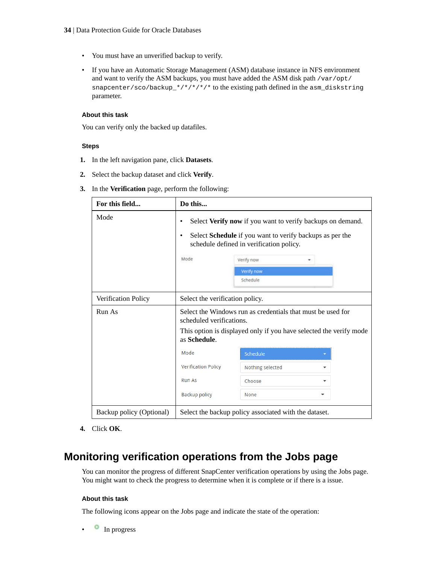- <span id="page-33-0"></span>• You must have an unverified backup to verify.
- If you have an Automatic Storage Management (ASM) database instance in NFS environment and want to verify the ASM backups, you must have added the ASM disk path /var/opt/ snapcenter/sco/backup\_\*/\*/\*/\*/\* to the existing path defined in the asm\_diskstring parameter.

## **About this task**

You can verify only the backed up datafiles.

# **Steps**

- **1.** In the left navigation pane, click **Datasets**.
- **2.** Select the backup dataset and click **Verify**.
- **3.** In the **Verification** page, perform the following:

| For this field           | Do this                                                                                                                                                                                                                      |                                                       |   |  |
|--------------------------|------------------------------------------------------------------------------------------------------------------------------------------------------------------------------------------------------------------------------|-------------------------------------------------------|---|--|
| Mode                     | Select Verify now if you want to verify backups on demand.<br>٠<br>Select Schedule if you want to verify backups as per the<br>٠<br>schedule defined in verification policy.<br>Mode<br>Verify now<br>Verify now<br>Schedule |                                                       |   |  |
| Verification Policy      | Select the verification policy.                                                                                                                                                                                              |                                                       |   |  |
| Run As                   | Select the Windows run as credentials that must be used for<br>scheduled verifications.                                                                                                                                      |                                                       |   |  |
|                          | This option is displayed only if you have selected the verify mode<br>as Schedule.                                                                                                                                           |                                                       |   |  |
|                          | Mode                                                                                                                                                                                                                         | Schedule                                              |   |  |
|                          | <b>Verification Policy</b>                                                                                                                                                                                                   | Nothing selected                                      |   |  |
|                          | <b>Run As</b>                                                                                                                                                                                                                | Choose                                                | - |  |
|                          | <b>Backup policy</b>                                                                                                                                                                                                         | None                                                  |   |  |
| Backup policy (Optional) |                                                                                                                                                                                                                              | Select the backup policy associated with the dataset. |   |  |

**4.** Click **OK**.

# **Monitoring verification operations from the Jobs page**

You can monitor the progress of different SnapCenter verification operations by using the Jobs page. You might want to check the progress to determine when it is complete or if there is a issue.

# **About this task**

The following icons appear on the Jobs page and indicate the state of the operation:

• In progress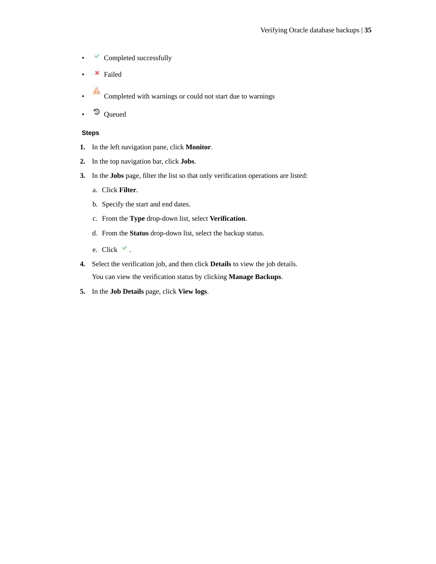- Completed successfully
- Failed
- Completed with warnings or could not start due to warnings
- Queued

# **Steps**

- **1.** In the left navigation pane, click **Monitor**.
- **2.** In the top navigation bar, click **Jobs**.
- **3.** In the **Jobs** page, filter the list so that only verification operations are listed:
	- a. Click **Filter**.
	- b. Specify the start and end dates.
	- c. From the **Type** drop-down list, select **Verification**.
	- d. From the **Status** drop-down list, select the backup status.
	- e. Click  $\checkmark$ .
- **4.** Select the verification job, and then click **Details** to view the job details. You can view the verification status by clicking **Manage Backups**.
- **5.** In the **Job Details** page, click **View logs**.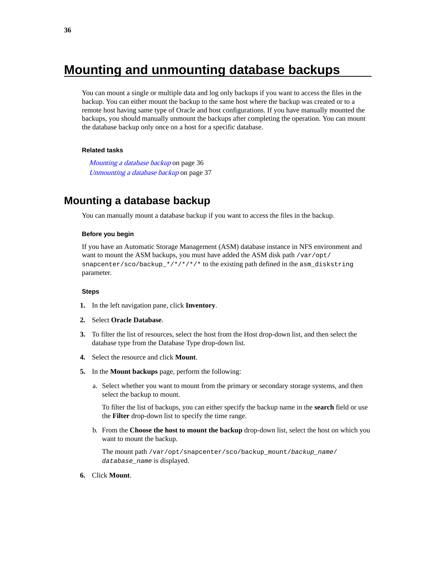# <span id="page-35-0"></span>**Mounting and unmounting database backups**

You can mount a single or multiple data and log only backups if you want to access the files in the backup. You can either mount the backup to the same host where the backup was created or to a remote host having same type of Oracle and host configurations. If you have manually mounted the backups, you should manually unmount the backups after completing the operation. You can mount the database backup only once on a host for a specific database.

### **Related tasks**

Mounting a database backup on page 36 [Unmounting a database backup](#page-36-0) on page 37

# **Mounting a database backup**

You can manually mount a database backup if you want to access the files in the backup.

### **Before you begin**

If you have an Automatic Storage Management (ASM) database instance in NFS environment and want to mount the ASM backups, you must have added the ASM disk path /var/opt/ snapcenter/sco/backup\_\*/\*/\*/\*/\* to the existing path defined in the asm\_diskstring parameter.

### **Steps**

- **1.** In the left navigation pane, click **Inventory**.
- **2.** Select **Oracle Database**.
- **3.** To filter the list of resources, select the host from the Host drop-down list, and then select the database type from the Database Type drop-down list.
- **4.** Select the resource and click **Mount**.
- **5.** In the **Mount backups** page, perform the following:
	- a. Select whether you want to mount from the primary or secondary storage systems, and then select the backup to mount.

To filter the list of backups, you can either specify the backup name in the **search** field or use the **Filter** drop-down list to specify the time range.

b. From the **Choose the host to mount the backup** drop-down list, select the host on which you want to mount the backup.

The mount path /var/opt/snapcenter/sco/backup\_mount/backup\_name/ database\_name is displayed.

**6.** Click **Mount**.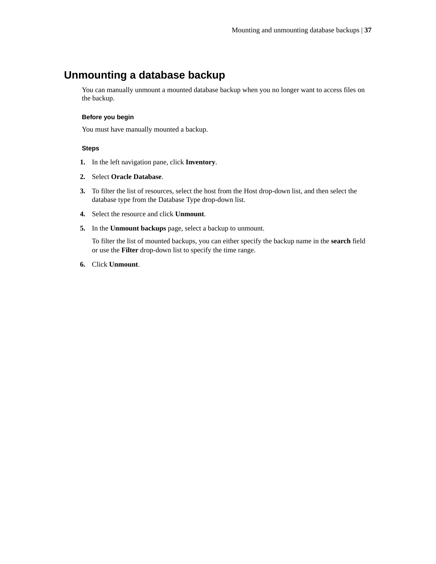## **Unmounting a database backup**

You can manually unmount a mounted database backup when you no longer want to access files on the backup.

### **Before you begin**

You must have manually mounted a backup.

### **Steps**

- **1.** In the left navigation pane, click **Inventory**.
- **2.** Select **Oracle Database**.
- **3.** To filter the list of resources, select the host from the Host drop-down list, and then select the database type from the Database Type drop-down list.
- **4.** Select the resource and click **Unmount**.
- **5.** In the **Unmount backups** page, select a backup to unmount.

To filter the list of mounted backups, you can either specify the backup name in the **search** field or use the **Filter** drop-down list to specify the time range.

**6.** Click **Unmount**.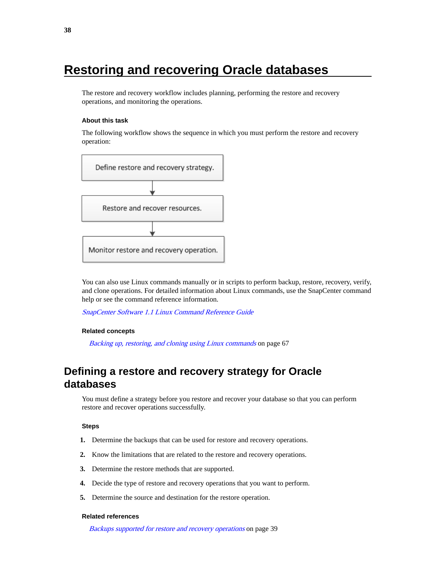# **Restoring and recovering Oracle databases**

The restore and recovery workflow includes planning, performing the restore and recovery operations, and monitoring the operations.

#### **About this task**

The following workflow shows the sequence in which you must perform the restore and recovery operation:



You can also use Linux commands manually or in scripts to perform backup, restore, recovery, verify, and clone operations. For detailed information about Linux commands, use the SnapCenter command help or see the command reference information.

[SnapCenter Software 1.1 Linux Command Reference Guide](https://library.netapp.com/ecm/ecm_download_file/ECMLP2440332)

#### **Related concepts**

[Backing up, restoring, and cloning using Linux commands](#page-66-0) on page 67

## **Defining a restore and recovery strategy for Oracle databases**

You must define a strategy before you restore and recover your database so that you can perform restore and recover operations successfully.

#### **Steps**

- **1.** Determine the backups that can be used for restore and recovery operations.
- **2.** Know the limitations that are related to the restore and recovery operations.
- **3.** Determine the restore methods that are supported.
- **4.** Decide the type of restore and recovery operations that you want to perform.
- **5.** Determine the source and destination for the restore operation.

#### **Related references**

[Backups supported for restore and recovery operations](#page-38-0) on page 39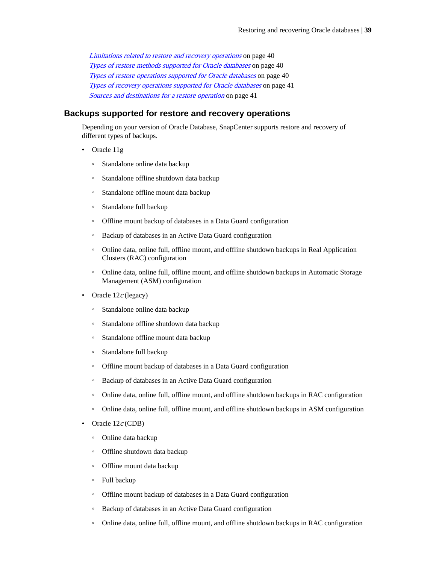<span id="page-38-0"></span>[Limitations related to restore and recovery operations](#page-39-0) on page 40 [Types of restore methods supported for Oracle databases](#page-39-0) on page 40 [Types of restore operations supported for Oracle databases](#page-39-0) on page 40 [Types of recovery operations supported for Oracle databases](#page-40-0) on page 41 [Sources and destinations for a restore operation](#page-40-0) on page 41

### **Backups supported for restore and recovery operations**

Depending on your version of Oracle Database, SnapCenter supports restore and recovery of different types of backups.

- Oracle 11g
	- Standalone online data backup
	- Standalone offline shutdown data backup
	- Standalone offline mount data backup
	- Standalone full backup
	- Offline mount backup of databases in a Data Guard configuration
	- Backup of databases in an Active Data Guard configuration
	- Online data, online full, offline mount, and offline shutdown backups in Real Application Clusters (RAC) configuration
	- Online data, online full, offline mount, and offline shutdown backups in Automatic Storage Management (ASM) configuration
- Oracle  $12c$  (legacy)
	- Standalone online data backup
	- Standalone offline shutdown data backup
	- Standalone offline mount data backup
	- Standalone full backup
	- Offline mount backup of databases in a Data Guard configuration
	- Backup of databases in an Active Data Guard configuration
	- Online data, online full, offline mount, and offline shutdown backups in RAC configuration
	- Online data, online full, offline mount, and offline shutdown backups in ASM configuration
- Oracle  $12c$  (CDB)
	- Online data backup
	- Offline shutdown data backup
	- Offline mount data backup
	- Full backup
	- Offline mount backup of databases in a Data Guard configuration
	- Backup of databases in an Active Data Guard configuration
	- Online data, online full, offline mount, and offline shutdown backups in RAC configuration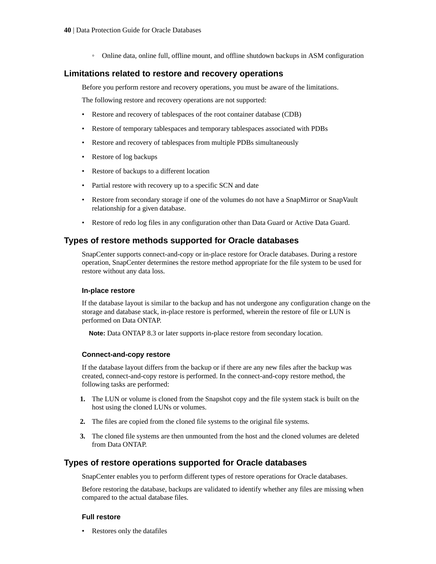◦ Online data, online full, offline mount, and offline shutdown backups in ASM configuration

### <span id="page-39-0"></span>**Limitations related to restore and recovery operations**

Before you perform restore and recovery operations, you must be aware of the limitations.

The following restore and recovery operations are not supported:

- Restore and recovery of tablespaces of the root container database (CDB)
- Restore of temporary tablespaces and temporary tablespaces associated with PDBs
- Restore and recovery of tablespaces from multiple PDBs simultaneously
- Restore of log backups
- Restore of backups to a different location
- Partial restore with recovery up to a specific SCN and date
- Restore from secondary storage if one of the volumes do not have a SnapMirror or SnapVault relationship for a given database.
- Restore of redo log files in any configuration other than Data Guard or Active Data Guard.

### **Types of restore methods supported for Oracle databases**

SnapCenter supports connect-and-copy or in-place restore for Oracle databases. During a restore operation, SnapCenter determines the restore method appropriate for the file system to be used for restore without any data loss.

#### **In-place restore**

If the database layout is similar to the backup and has not undergone any configuration change on the storage and database stack, in-place restore is performed, wherein the restore of file or LUN is performed on Data ONTAP.

**Note:** Data ONTAP 8.3 or later supports in-place restore from secondary location.

#### **Connect-and-copy restore**

If the database layout differs from the backup or if there are any new files after the backup was created, connect-and-copy restore is performed. In the connect-and-copy restore method, the following tasks are performed:

- **1.** The LUN or volume is cloned from the Snapshot copy and the file system stack is built on the host using the cloned LUNs or volumes.
- **2.** The files are copied from the cloned file systems to the original file systems.
- **3.** The cloned file systems are then unmounted from the host and the cloned volumes are deleted from Data ONTAP.

### **Types of restore operations supported for Oracle databases**

SnapCenter enables you to perform different types of restore operations for Oracle databases.

Before restoring the database, backups are validated to identify whether any files are missing when compared to the actual database files.

#### **Full restore**

• Restores only the datafiles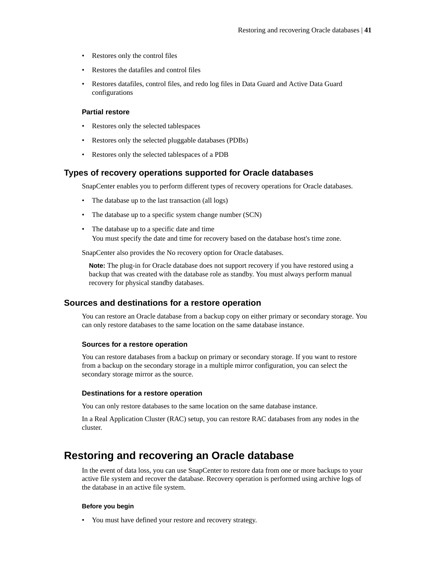- <span id="page-40-0"></span>• Restores only the control files
- Restores the datafiles and control files
- Restores datafiles, control files, and redo log files in Data Guard and Active Data Guard configurations

### **Partial restore**

- Restores only the selected tablespaces
- Restores only the selected pluggable databases (PDBs)
- Restores only the selected tablespaces of a PDB

### **Types of recovery operations supported for Oracle databases**

SnapCenter enables you to perform different types of recovery operations for Oracle databases.

- The database up to the last transaction (all logs)
- The database up to a specific system change number (SCN)
- The database up to a specific date and time You must specify the date and time for recovery based on the database host's time zone.

SnapCenter also provides the No recovery option for Oracle databases.

**Note:** The plug-in for Oracle database does not support recovery if you have restored using a backup that was created with the database role as standby. You must always perform manual recovery for physical standby databases.

### **Sources and destinations for a restore operation**

You can restore an Oracle database from a backup copy on either primary or secondary storage. You can only restore databases to the same location on the same database instance.

### **Sources for a restore operation**

You can restore databases from a backup on primary or secondary storage. If you want to restore from a backup on the secondary storage in a multiple mirror configuration, you can select the secondary storage mirror as the source.

### **Destinations for a restore operation**

You can only restore databases to the same location on the same database instance.

In a Real Application Cluster (RAC) setup, you can restore RAC databases from any nodes in the cluster.

## **Restoring and recovering an Oracle database**

In the event of data loss, you can use SnapCenter to restore data from one or more backups to your active file system and recover the database. Recovery operation is performed using archive logs of the database in an active file system.

### **Before you begin**

• You must have defined your restore and recovery strategy.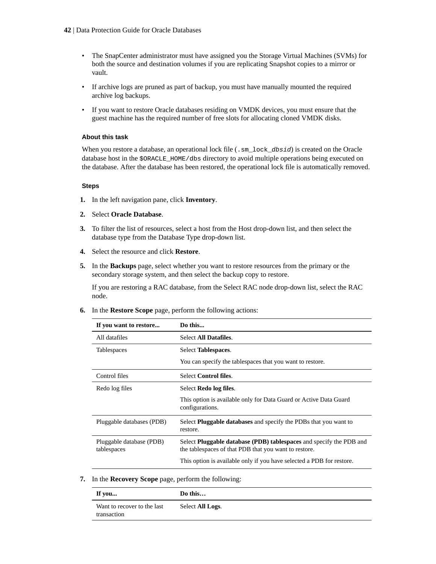- The SnapCenter administrator must have assigned you the Storage Virtual Machines (SVMs) for both the source and destination volumes if you are replicating Snapshot copies to a mirror or vault.
- If archive logs are pruned as part of backup, you must have manually mounted the required archive log backups.
- If you want to restore Oracle databases residing on VMDK devices, you must ensure that the guest machine has the required number of free slots for allocating cloned VMDK disks.

### **About this task**

When you restore a database, an operational lock file  $(\cdot, sm\_lock\_dbsid)$  is created on the Oracle database host in the \$ORACLE\_HOME/dbs directory to avoid multiple operations being executed on the database. After the database has been restored, the operational lock file is automatically removed.

#### **Steps**

- **1.** In the left navigation pane, click **Inventory**.
- **2.** Select **Oracle Database**.
- **3.** To filter the list of resources, select a host from the Host drop-down list, and then select the database type from the Database Type drop-down list.
- **4.** Select the resource and click **Restore**.
- **5.** In the **Backups** page, select whether you want to restore resources from the primary or the secondary storage system, and then select the backup copy to restore.

If you are restoring a RAC database, from the Select RAC node drop-down list, select the RAC node.

**6.** In the **Restore Scope** page, perform the following actions:

| If you want to restore                  | Do this                                                                                                                      |
|-----------------------------------------|------------------------------------------------------------------------------------------------------------------------------|
| All datafiles                           | Select All Datafiles.                                                                                                        |
| <b>Tablespaces</b>                      | Select Tablespaces.                                                                                                          |
|                                         | You can specify the tablespaces that you want to restore.                                                                    |
| Control files                           | <b>Select Control files.</b>                                                                                                 |
| Redo log files                          | Select Redo log files.                                                                                                       |
|                                         | This option is available only for Data Guard or Active Data Guard<br>configurations.                                         |
| Pluggable databases (PDB)               | Select <b>Pluggable databases</b> and specify the PDBs that you want to<br>restore.                                          |
| Pluggable database (PDB)<br>tablespaces | Select Pluggable database (PDB) tablespaces and specify the PDB and<br>the tablespaces of that PDB that you want to restore. |
|                                         | This option is available only if you have selected a PDB for restore.                                                        |

#### **7.** In the **Recovery Scope** page, perform the following:

| If you                                     | Do this          |
|--------------------------------------------|------------------|
| Want to recover to the last<br>transaction | Select All Logs. |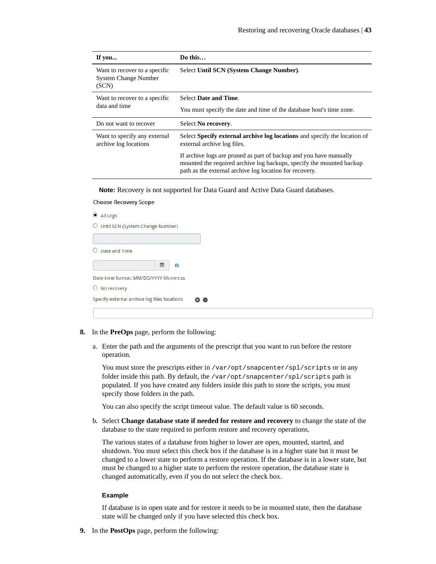| If you                                                                | Do this                                                                                                                                                                                               |
|-----------------------------------------------------------------------|-------------------------------------------------------------------------------------------------------------------------------------------------------------------------------------------------------|
| Want to recover to a specific<br><b>System Change Number</b><br>(SCN) | Select Until SCN (System Change Number).                                                                                                                                                              |
| Want to recover to a specific                                         | <b>Select Date and Time.</b>                                                                                                                                                                          |
| data and time                                                         | You must specify the date and time of the database host's time zone.                                                                                                                                  |
| Do not want to recover                                                | Select No recovery.                                                                                                                                                                                   |
| Want to specify any external<br>archive log locations                 | Select Specify external archive log locations and specify the location of<br>external archive log files.                                                                                              |
|                                                                       | If archive logs are pruned as part of backup and you have manually<br>mounted the required archive log backups, specify the mounted backup<br>path as the external archive log location for recovery. |

**Note:** Recovery is not supported for Data Guard and Active Data Guard databases.

#### **Choose Recovery Scope**

| $\bullet$ All Logs                                        |
|-----------------------------------------------------------|
| ○ Until SCN (System Change Number)                        |
|                                                           |
| Date and Time                                             |
| 巤<br>A                                                    |
| Date-time format: MM/DD/YYYY hh:mm:ss                     |
| $\bigcirc$ No recovery                                    |
| Specify external archive log files locations<br>$\bullet$ |
|                                                           |

- **8.** In the **PreOps** page, perform the following:
	- a. Enter the path and the arguments of the prescript that you want to run before the restore operation.

You must store the prescripts either in /var/opt/snapcenter/spl/scripts or in any folder inside this path. By default, the /var/opt/snapcenter/spl/scripts path is populated. If you have created any folders inside this path to store the scripts, you must specify those folders in the path.

You can also specify the script timeout value. The default value is 60 seconds.

b. Select **Change database state if needed for restore and recovery** to change the state of the database to the state required to perform restore and recovery operations.

The various states of a database from higher to lower are open, mounted, started, and shutdown. You must select this check box if the database is in a higher state but it must be changed to a lower state to perform a restore operation. If the database is in a lower state, but must be changed to a higher state to perform the restore operation, the database state is changed automatically, even if you do not select the check box.

#### **Example**

If database is in open state and for restore it needs to be in mounted state, then the database state will be changed only if you have selected this check box.

**9.** In the **PostOps** page, perform the following: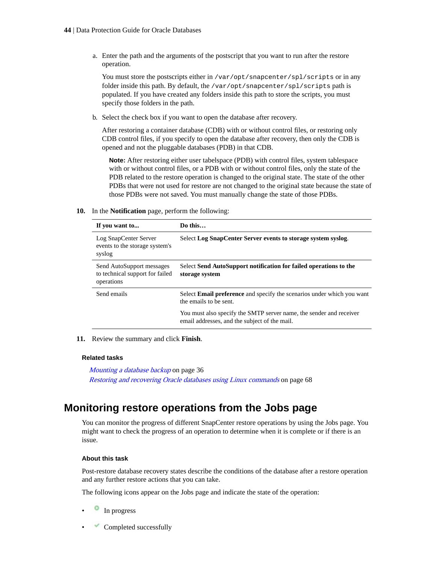a. Enter the path and the arguments of the postscript that you want to run after the restore operation.

You must store the postscripts either in /var/opt/snapcenter/spl/scripts or in any folder inside this path. By default, the /var/opt/snapcenter/spl/scripts path is populated. If you have created any folders inside this path to store the scripts, you must specify those folders in the path.

b. Select the check box if you want to open the database after recovery.

After restoring a container database (CDB) with or without control files, or restoring only CDB control files, if you specify to open the database after recovery, then only the CDB is opened and not the pluggable databases (PDB) in that CDB.

**Note:** After restoring either user tabelspace (PDB) with control files, system tablespace with or without control files, or a PDB with or without control files, only the state of the PDB related to the restore operation is changed to the original state. The state of the other PDBs that were not used for restore are not changed to the original state because the state of those PDBs were not saved. You must manually change the state of those PDBs.

**10.** In the **Notification** page, perform the following:

| If you want to                                                             | Do this                                                                                                              |
|----------------------------------------------------------------------------|----------------------------------------------------------------------------------------------------------------------|
| Log SnapCenter Server<br>events to the storage system's<br>syslog          | Select Log SnapCenter Server events to storage system syslog.                                                        |
| Send AutoSupport messages<br>to technical support for failed<br>operations | Select Send AutoSupport notification for failed operations to the<br>storage system                                  |
| Send emails                                                                | Select <b>Email preference</b> and specify the scenarios under which you want<br>the emails to be sent.              |
|                                                                            | You must also specify the SMTP server name, the sender and receiver<br>email addresses, and the subject of the mail. |

**11.** Review the summary and click **Finish**.

#### **Related tasks**

[Mounting a database backup](#page-35-0) on page 36 [Restoring and recovering Oracle databases using Linux commands](#page-67-0) on page 68

## **Monitoring restore operations from the Jobs page**

You can monitor the progress of different SnapCenter restore operations by using the Jobs page. You might want to check the progress of an operation to determine when it is complete or if there is an issue.

#### **About this task**

Post-restore database recovery states describe the conditions of the database after a restore operation and any further restore actions that you can take.

The following icons appear on the Jobs page and indicate the state of the operation:

- In progress
- Completed successfully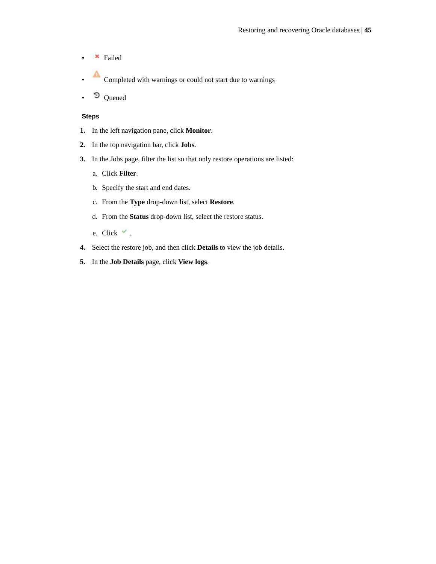- **\*** Failed
- Completed with warnings or could not start due to warnings
- Queued

- **1.** In the left navigation pane, click **Monitor**.
- **2.** In the top navigation bar, click **Jobs**.
- **3.** In the Jobs page, filter the list so that only restore operations are listed:
	- a. Click **Filter**.
	- b. Specify the start and end dates.
	- c. From the **Type** drop-down list, select **Restore**.
	- d. From the **Status** drop-down list, select the restore status.
	- e. Click  $\checkmark$ .
- **4.** Select the restore job, and then click **Details** to view the job details.
- **5.** In the **Job Details** page, click **View logs**.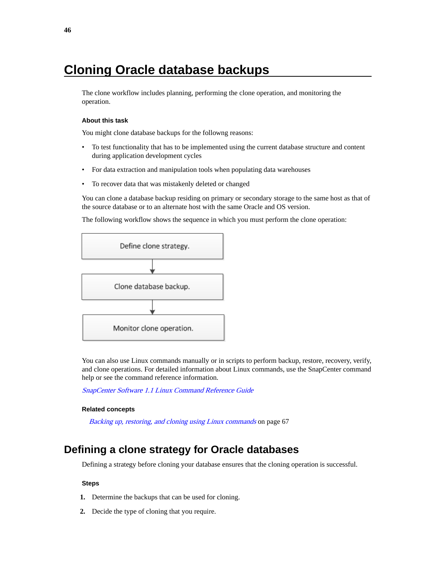# **Cloning Oracle database backups**

The clone workflow includes planning, performing the clone operation, and monitoring the operation.

#### **About this task**

You might clone database backups for the followng reasons:

- To test functionality that has to be implemented using the current database structure and content during application development cycles
- For data extraction and manipulation tools when populating data warehouses
- To recover data that was mistakenly deleted or changed

You can clone a database backup residing on primary or secondary storage to the same host as that of the source database or to an alternate host with the same Oracle and OS version.

The following workflow shows the sequence in which you must perform the clone operation:



You can also use Linux commands manually or in scripts to perform backup, restore, recovery, verify, and clone operations. For detailed information about Linux commands, use the SnapCenter command help or see the command reference information.

[SnapCenter Software 1.1 Linux Command Reference Guide](https://library.netapp.com/ecm/ecm_download_file/ECMLP2440332)

#### **Related concepts**

[Backing up, restoring, and cloning using Linux commands](#page-66-0) on page 67

### **Defining a clone strategy for Oracle databases**

Defining a strategy before cloning your database ensures that the cloning operation is successful.

- **1.** Determine the backups that can be used for cloning.
- **2.** Decide the type of cloning that you require.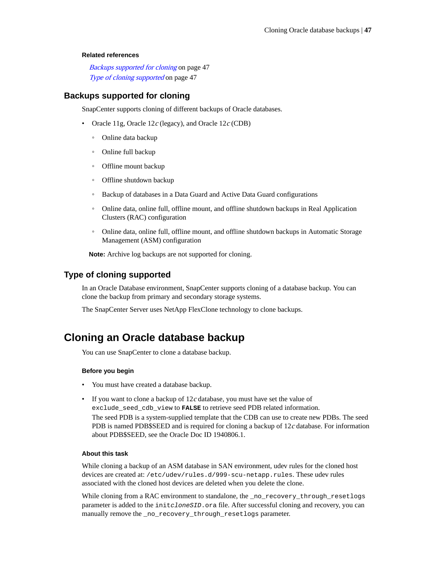#### **Related references**

Backups supported for cloning on page 47 Type of cloning supported on page 47

### **Backups supported for cloning**

SnapCenter supports cloning of different backups of Oracle databases.

- Oracle 11g, Oracle 12 $c$  (legacy), and Oracle 12 $c$  (CDB)
	- Online data backup
	- Online full backup
	- Offline mount backup
	- Offline shutdown backup
	- Backup of databases in a Data Guard and Active Data Guard configurations
	- Online data, online full, offline mount, and offline shutdown backups in Real Application Clusters (RAC) configuration
	- Online data, online full, offline mount, and offline shutdown backups in Automatic Storage Management (ASM) configuration

**Note:** Archive log backups are not supported for cloning.

### **Type of cloning supported**

In an Oracle Database environment, SnapCenter supports cloning of a database backup. You can clone the backup from primary and secondary storage systems.

The SnapCenter Server uses NetApp FlexClone technology to clone backups.

## **Cloning an Oracle database backup**

You can use SnapCenter to clone a database backup.

#### **Before you begin**

- You must have created a database backup.
- If you want to clone a backup of  $12c$  database, you must have set the value of exclude\_seed\_cdb\_view to **FALSE** to retrieve seed PDB related information. The seed PDB is a system-supplied template that the CDB can use to create new PDBs. The seed PDB is named PDB\$SEED and is required for cloning a backup of  $12c$  database. For information about PDB\$SEED, see the Oracle Doc ID 1940806.1.

#### **About this task**

While cloning a backup of an ASM database in SAN environment, udev rules for the cloned host devices are created at: /etc/udev/rules.d/999-scu-netapp.rules. These udev rules associated with the cloned host devices are deleted when you delete the clone.

While cloning from a RAC environment to standalone, the \_no\_recovery\_through\_resetlogs parameter is added to the initeloneSID.ora file. After successful cloning and recovery, you can manually remove the \_no\_recovery\_through\_resetlogs parameter.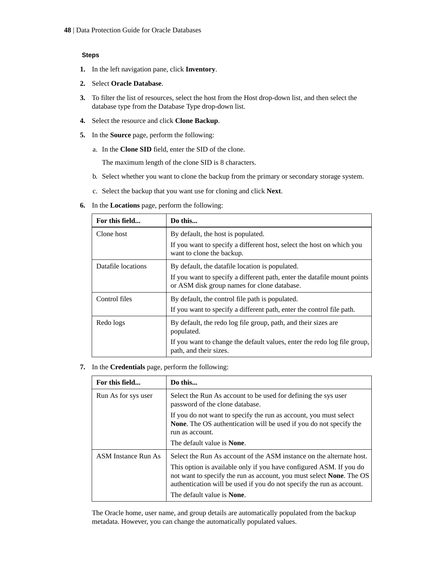### **Steps**

- **1.** In the left navigation pane, click **Inventory**.
- **2.** Select **Oracle Database**.
- **3.** To filter the list of resources, select the host from the Host drop-down list, and then select the database type from the Database Type drop-down list.
- **4.** Select the resource and click **Clone Backup**.
- **5.** In the **Source** page, perform the following:
	- a. In the **Clone SID** field, enter the SID of the clone.

The maximum length of the clone SID is 8 characters.

- b. Select whether you want to clone the backup from the primary or secondary storage system.
- c. Select the backup that you want use for cloning and click **Next**.
- **6.** In the **Locations** page, perform the following:

| For this field     | Do this                                                                                                                 |
|--------------------|-------------------------------------------------------------------------------------------------------------------------|
| Clone host         | By default, the host is populated.                                                                                      |
|                    | If you want to specify a different host, select the host on which you<br>want to clone the backup.                      |
| Datafile locations | By default, the datafile location is populated.                                                                         |
|                    | If you want to specify a different path, enter the datafile mount points<br>or ASM disk group names for clone database. |
| Control files      | By default, the control file path is populated.                                                                         |
|                    | If you want to specify a different path, enter the control file path.                                                   |
| Redo logs          | By default, the redo log file group, path, and their sizes are<br>populated.                                            |
|                    | If you want to change the default values, enter the redo log file group,<br>path, and their sizes.                      |

**7.** In the **Credentials** page, perform the following:

| For this field             | Do this                                                                                                                                                                                                                                                                                                                                    |  |
|----------------------------|--------------------------------------------------------------------------------------------------------------------------------------------------------------------------------------------------------------------------------------------------------------------------------------------------------------------------------------------|--|
| Run As for sys user        | Select the Run As account to be used for defining the sys user<br>password of the clone database.                                                                                                                                                                                                                                          |  |
|                            | If you do not want to specify the run as account, you must select<br><b>None.</b> The OS authentication will be used if you do not specify the<br>run as account.<br>The default value is <b>None</b> .                                                                                                                                    |  |
| <b>ASM</b> Instance Run As | Select the Run As account of the ASM instance on the alternate host.<br>This option is available only if you have configured ASM. If you do<br>not want to specify the run as account, you must select <b>None</b> . The OS<br>authentication will be used if you do not specify the run as account.<br>The default value is <b>None</b> . |  |

The Oracle home, user name, and group details are automatically populated from the backup metadata. However, you can change the automatically populated values.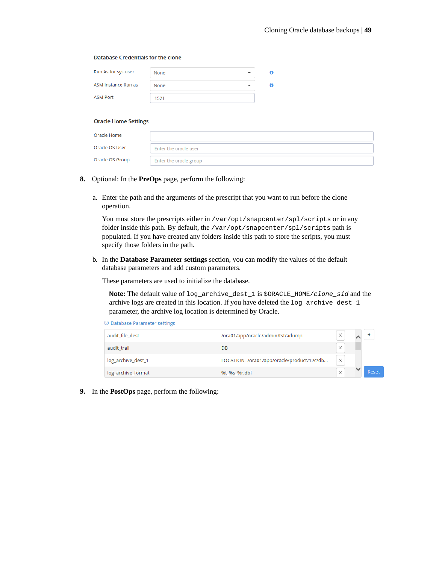#### **Database Credentials for the clone**

| Run As for sys user | None |  |
|---------------------|------|--|
| ASM Instance Run as | None |  |
| ASM Port            | 1521 |  |

#### **Oracle Home Settings**

| Oracle Home     |                        |
|-----------------|------------------------|
| Oracle OS User  | Enter the oracle user  |
| Oracle OS Group | Enter the oracle group |

- **8.** Optional: In the **PreOps** page, perform the following:
	- a. Enter the path and the arguments of the prescript that you want to run before the clone operation.

You must store the prescripts either in /var/opt/snapcenter/spl/scripts or in any folder inside this path. By default, the /var/opt/snapcenter/spl/scripts path is populated. If you have created any folders inside this path to store the scripts, you must specify those folders in the path.

b. In the **Database Parameter settings** section, you can modify the values of the default database parameters and add custom parameters.

These parameters are used to initialize the database.

**Note:** The default value of log\_archive\_dest\_1 is \$ORACLE\_HOME/clone\_sid and the archive logs are created in this location. If you have deleted the log\_archive\_dest\_1 parameter, the archive log location is determined by Oracle.

|  |  |  |  | $\odot$ Database Parameter settings |  |
|--|--|--|--|-------------------------------------|--|
|--|--|--|--|-------------------------------------|--|

| audit_file_dest    | /ora01/app/oracle/admin/tst/adump         | ×        |       |
|--------------------|-------------------------------------------|----------|-------|
| audit trail        | DB                                        | $\times$ |       |
| log_archive_dest_1 | LOCATION=/ora01/app/oracle/product/12c/db | ×        |       |
| log_archive_format | %t %s %r.dbf                              | $\times$ | Reset |

**9.** In the **PostOps** page, perform the following: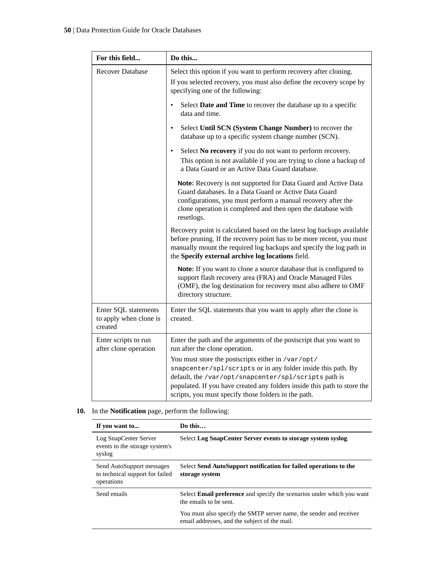| For this field                                            | Do this                                                                                                                                                                                                                                                                                                        |
|-----------------------------------------------------------|----------------------------------------------------------------------------------------------------------------------------------------------------------------------------------------------------------------------------------------------------------------------------------------------------------------|
| <b>Recover Database</b>                                   | Select this option if you want to perform recovery after cloning.<br>If you selected recovery, you must also define the recovery scope by<br>specifying one of the following:                                                                                                                                  |
|                                                           | Select Date and Time to recover the database up to a specific<br>$\bullet$<br>data and time.                                                                                                                                                                                                                   |
|                                                           | Select Until SCN (System Change Number) to recover the<br>$\bullet$<br>database up to a specific system change number (SCN).                                                                                                                                                                                   |
|                                                           | Select No recovery if you do not want to perform recovery.<br>$\bullet$<br>This option is not available if you are trying to clone a backup of<br>a Data Guard or an Active Data Guard database.                                                                                                               |
|                                                           | Note: Recovery is not supported for Data Guard and Active Data<br>Guard databases. In a Data Guard or Active Data Guard<br>configurations, you must perform a manual recovery after the<br>clone operation is completed and then open the database with<br>resetlogs.                                          |
|                                                           | Recovery point is calculated based on the latest log backups available<br>before pruning. If the recovery point has to be more recent, you must<br>manually mount the required log backups and specify the log path in<br>the Specify external archive log locations field.                                    |
|                                                           | Note: If you want to clone a source database that is configured to<br>support flash recovery area (FRA) and Oracle Managed Files<br>(OMF), the log destination for recovery must also adhere to OMF<br>directory structure.                                                                                    |
| Enter SQL statements<br>to apply when clone is<br>created | Enter the SQL statements that you want to apply after the clone is<br>created.                                                                                                                                                                                                                                 |
| Enter scripts to run<br>after clone operation             | Enter the path and the arguments of the postscript that you want to<br>run after the clone operation.                                                                                                                                                                                                          |
|                                                           | You must store the postscripts either in /var/opt/<br>snapcenter/spl/scripts or in any folder inside this path. By<br>default, the /var/opt/snapcenter/spl/scripts path is<br>populated. If you have created any folders inside this path to store the<br>scripts, you must specify those folders in the path. |

### **10.** In the **Notification** page, perform the following:

| If you want to                                                             | Do this                                                                                                              |
|----------------------------------------------------------------------------|----------------------------------------------------------------------------------------------------------------------|
| Log SnapCenter Server<br>events to the storage system's<br>syslog          | Select Log SnapCenter Server events to storage system syslog.                                                        |
| Send AutoSupport messages<br>to technical support for failed<br>operations | Select Send AutoSupport notification for failed operations to the<br>storage system                                  |
| Send emails                                                                | Select <b>Email preference</b> and specify the scenarios under which you want<br>the emails to be sent.              |
|                                                                            | You must also specify the SMTP server name, the sender and receiver<br>email addresses, and the subject of the mail. |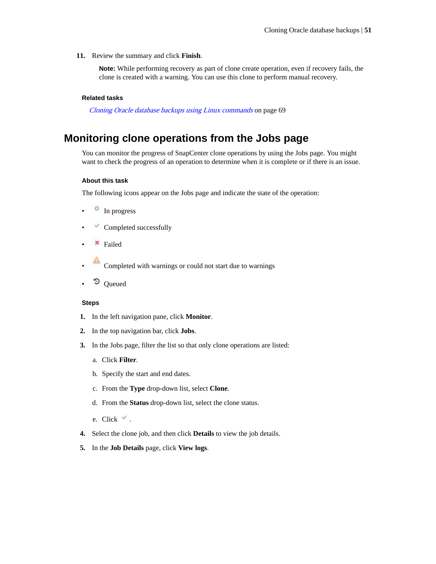**11.** Review the summary and click **Finish**.

**Note:** While performing recovery as part of clone create operation, even if recovery fails, the clone is created with a warning. You can use this clone to perform manual recovery.

#### **Related tasks**

[Cloning Oracle database backups using Linux commands](#page-68-0) on page 69

## **Monitoring clone operations from the Jobs page**

You can monitor the progress of SnapCenter clone operations by using the Jobs page. You might want to check the progress of an operation to determine when it is complete or if there is an issue.

#### **About this task**

The following icons appear on the Jobs page and indicate the state of the operation:

- <sup>•</sup> In progress
- Completed successfully
- Failed
- Completed with warnings or could not start due to warnings
- <sup>D</sup> Queued

- **1.** In the left navigation pane, click **Monitor**.
- **2.** In the top navigation bar, click **Jobs**.
- **3.** In the Jobs page, filter the list so that only clone operations are listed:
	- a. Click **Filter**.
	- b. Specify the start and end dates.
	- c. From the **Type** drop-down list, select **Clone**.
	- d. From the **Status** drop-down list, select the clone status.
	- e. Click  $\checkmark$ .
- **4.** Select the clone job, and then click **Details** to view the job details.
- **5.** In the **Job Details** page, click **View logs**.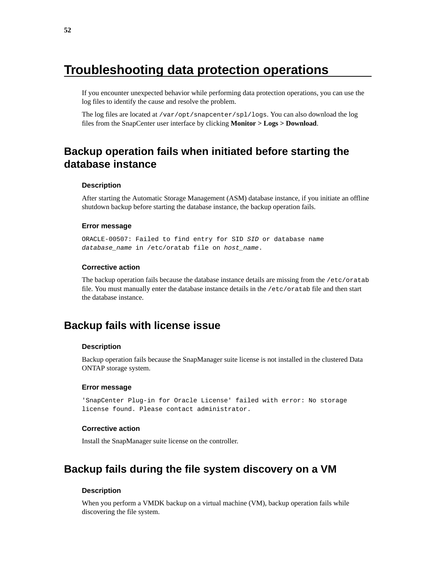# **Troubleshooting data protection operations**

If you encounter unexpected behavior while performing data protection operations, you can use the log files to identify the cause and resolve the problem.

The log files are located at /var/opt/snapcenter/spl/logs. You can also download the log files from the SnapCenter user interface by clicking **Monitor > Logs > Download**.

## **Backup operation fails when initiated before starting the database instance**

#### **Description**

After starting the Automatic Storage Management (ASM) database instance, if you initiate an offline shutdown backup before starting the database instance, the backup operation fails.

#### **Error message**

ORACLE-00507: Failed to find entry for SID SID or database name database\_name in /etc/oratab file on host\_name.

#### **Corrective action**

The backup operation fails because the database instance details are missing from the /etc/oratab file. You must manually enter the database instance details in the /etc/oratab file and then start the database instance.

### **Backup fails with license issue**

#### **Description**

Backup operation fails because the SnapManager suite license is not installed in the clustered Data ONTAP storage system.

#### **Error message**

'SnapCenter Plug-in for Oracle License' failed with error: No storage license found. Please contact administrator.

### **Corrective action**

Install the SnapManager suite license on the controller.

## **Backup fails during the file system discovery on a VM**

#### **Description**

When you perform a VMDK backup on a virtual machine (VM), backup operation fails while discovering the file system.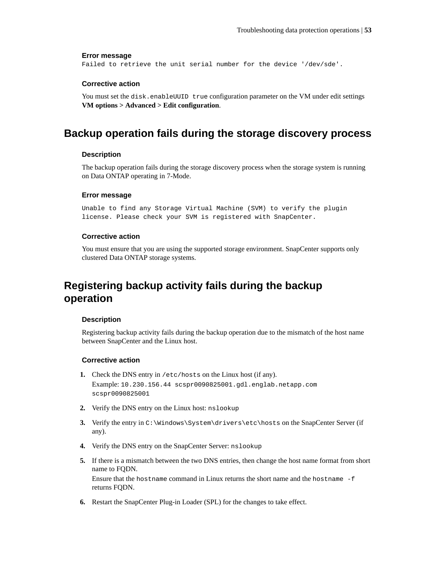#### **Error message**

Failed to retrieve the unit serial number for the device '/dev/sde'.

#### **Corrective action**

You must set the disk.enableUUID true configuration parameter on the VM under edit settings **VM options > Advanced > Edit configuration**.

## **Backup operation fails during the storage discovery process**

### **Description**

The backup operation fails during the storage discovery process when the storage system is running on Data ONTAP operating in 7-Mode.

#### **Error message**

Unable to find any Storage Virtual Machine (SVM) to verify the plugin license. Please check your SVM is registered with SnapCenter.

#### **Corrective action**

You must ensure that you are using the supported storage environment. SnapCenter supports only clustered Data ONTAP storage systems.

## **Registering backup activity fails during the backup operation**

#### **Description**

Registering backup activity fails during the backup operation due to the mismatch of the host name between SnapCenter and the Linux host.

### **Corrective action**

- **1.** Check the DNS entry in /etc/hosts on the Linux host (if any). Example: 10.230.156.44 scspr0090825001.gdl.englab.netapp.com scspr0090825001
- **2.** Verify the DNS entry on the Linux host: nslookup
- **3.** Verify the entry in C:\Windows\System\drivers\etc\hosts on the SnapCenter Server (if any).
- **4.** Verify the DNS entry on the SnapCenter Server: nslookup
- **5.** If there is a mismatch between the two DNS entries, then change the host name format from short name to FQDN. Ensure that the hostname command in Linux returns the short name and the hostname -f returns FQDN.
- **6.** Restart the SnapCenter Plug-in Loader (SPL) for the changes to take effect.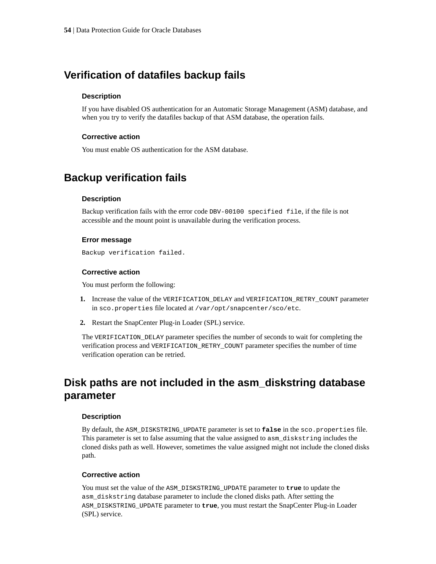## **Verification of datafiles backup fails**

#### **Description**

If you have disabled OS authentication for an Automatic Storage Management (ASM) database, and when you try to verify the datafiles backup of that ASM database, the operation fails.

### **Corrective action**

You must enable OS authentication for the ASM database.

## **Backup verification fails**

### **Description**

Backup verification fails with the error code DBV-00100 specified file, if the file is not accessible and the mount point is unavailable during the verification process.

#### **Error message**

Backup verification failed.

#### **Corrective action**

You must perform the following:

- **1.** Increase the value of the VERIFICATION\_DELAY and VERIFICATION\_RETRY\_COUNT parameter in sco.properties file located at /var/opt/snapcenter/sco/etc.
- **2.** Restart the SnapCenter Plug-in Loader (SPL) service.

The VERIFICATION\_DELAY parameter specifies the number of seconds to wait for completing the verification process and VERIFICATION\_RETRY\_COUNT parameter specifies the number of time verification operation can be retried.

## **Disk paths are not included in the asm\_diskstring database parameter**

#### **Description**

By default, the ASM\_DISKSTRING\_UPDATE parameter is set to **false** in the sco.properties file. This parameter is set to false assuming that the value assigned to asm\_diskstring includes the cloned disks path as well. However, sometimes the value assigned might not include the cloned disks path.

#### **Corrective action**

You must set the value of the ASM\_DISKSTRING\_UPDATE parameter to **true** to update the asm\_diskstring database parameter to include the cloned disks path. After setting the ASM\_DISKSTRING\_UPDATE parameter to **true**, you must restart the SnapCenter Plug-in Loader (SPL) service.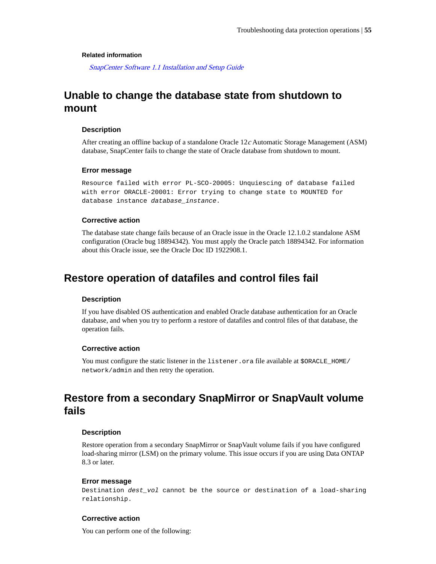#### **Related information**

[SnapCenter Software 1.1 Installation and Setup Guide](https://library.netapp.com/ecm/ecm_download_file/ECMLP2440193)

## **Unable to change the database state from shutdown to mount**

#### **Description**

After creating an offline backup of a standalone Oracle 12c Automatic Storage Management (ASM) database, SnapCenter fails to change the state of Oracle database from shutdown to mount.

#### **Error message**

Resource failed with error PL-SCO-20005: Unquiescing of database failed with error ORACLE-20001: Error trying to change state to MOUNTED for database instance database\_instance.

#### **Corrective action**

The database state change fails because of an Oracle issue in the Oracle 12.1.0.2 standalone ASM configuration (Oracle bug 18894342). You must apply the Oracle patch 18894342. For information about this Oracle issue, see the Oracle Doc ID 1922908.1.

### **Restore operation of datafiles and control files fail**

### **Description**

If you have disabled OS authentication and enabled Oracle database authentication for an Oracle database, and when you try to perform a restore of datafiles and control files of that database, the operation fails.

### **Corrective action**

You must configure the static listener in the listener.ora file available at \$ORACLE\_HOME/ network/admin and then retry the operation.

## **Restore from a secondary SnapMirror or SnapVault volume fails**

#### **Description**

Restore operation from a secondary SnapMirror or SnapVault volume fails if you have configured load-sharing mirror (LSM) on the primary volume. This issue occurs if you are using Data ONTAP 8.3 or later.

#### **Error message**

Destination dest\_vol cannot be the source or destination of a load-sharing relationship.

#### **Corrective action**

You can perform one of the following: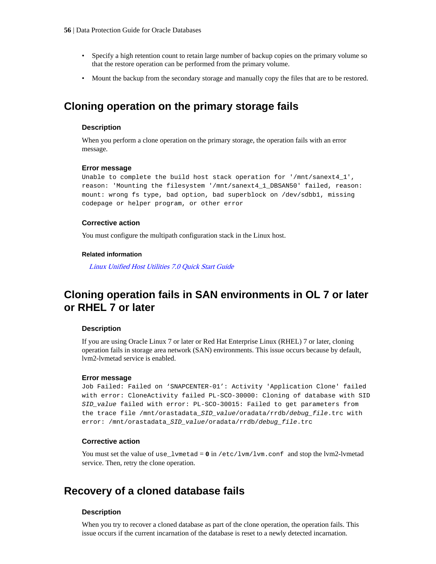- Specify a high retention count to retain large number of backup copies on the primary volume so that the restore operation can be performed from the primary volume.
- Mount the backup from the secondary storage and manually copy the files that are to be restored.

### **Cloning operation on the primary storage fails**

#### **Description**

When you perform a clone operation on the primary storage, the operation fails with an error message.

#### **Error message**

Unable to complete the build host stack operation for '/mnt/sanext4\_1', reason: 'Mounting the filesystem '/mnt/sanext4\_1\_DBSAN50' failed, reason: mount: wrong fs type, bad option, bad superblock on /dev/sdbb1, missing codepage or helper program, or other error

#### **Corrective action**

You must configure the multipath configuration stack in the Linux host.

#### **Related information**

[Linux Unified Host Utilities 7.0 Quick Start Guide](https://library.netapp.com/ecm/ecm_download_file/ECMP1654940)

## **Cloning operation fails in SAN environments in OL 7 or later or RHEL 7 or later**

#### **Description**

If you are using Oracle Linux 7 or later or Red Hat Enterprise Linux (RHEL) 7 or later, cloning operation fails in storage area network (SAN) environments. This issue occurs because by default, lvm2-lvmetad service is enabled.

#### **Error message**

```
Job Failed: Failed on 'SNAPCENTER-01': Activity 'Application Clone' failed
with error: CloneActivity failed PL-SCO-30000: Cloning of database with SID
SID_value failed with error: PL-SCO-30015: Failed to get parameters from
the trace file /mnt/orastadata_SID_value/oradata/rrdb/debug_file.trc with
error: /mnt/orastadata_SID_value/oradata/rrdb/debug_file.trc
```
#### **Corrective action**

You must set the value of use\_lvmetad =  $0$  in /etc/lvm/lvm.conf and stop the lvm2-lvmetad service. Then, retry the clone operation.

### **Recovery of a cloned database fails**

#### **Description**

When you try to recover a cloned database as part of the clone operation, the operation fails. This issue occurs if the current incarnation of the database is reset to a newly detected incarnation.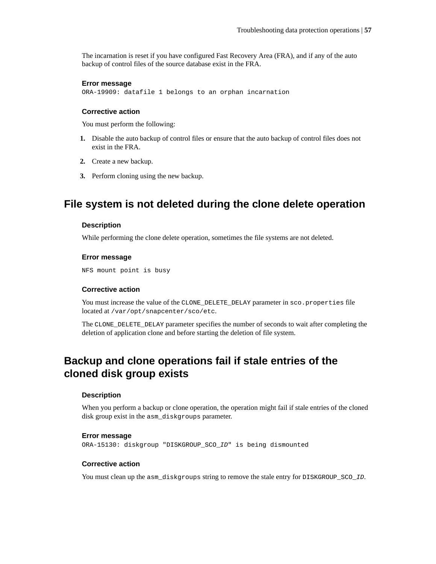The incarnation is reset if you have configured Fast Recovery Area (FRA), and if any of the auto backup of control files of the source database exist in the FRA.

#### **Error message**

ORA-19909: datafile 1 belongs to an orphan incarnation

#### **Corrective action**

You must perform the following:

- **1.** Disable the auto backup of control files or ensure that the auto backup of control files does not exist in the FRA.
- **2.** Create a new backup.
- **3.** Perform cloning using the new backup.

### **File system is not deleted during the clone delete operation**

#### **Description**

While performing the clone delete operation, sometimes the file systems are not deleted.

#### **Error message**

NFS mount point is busy

#### **Corrective action**

You must increase the value of the CLONE\_DELETE\_DELAY parameter in sco.properties file located at /var/opt/snapcenter/sco/etc.

The CLONE\_DELETE\_DELAY parameter specifies the number of seconds to wait after completing the deletion of application clone and before starting the deletion of file system.

## **Backup and clone operations fail if stale entries of the cloned disk group exists**

#### **Description**

When you perform a backup or clone operation, the operation might fail if stale entries of the cloned disk group exist in the asm\_diskgroups parameter.

#### **Error message**

ORA-15130: diskgroup "DISKGROUP\_SCO\_ID" is being dismounted

#### **Corrective action**

You must clean up the asm\_diskgroups string to remove the stale entry for DISKGROUP\_SCO\_ID.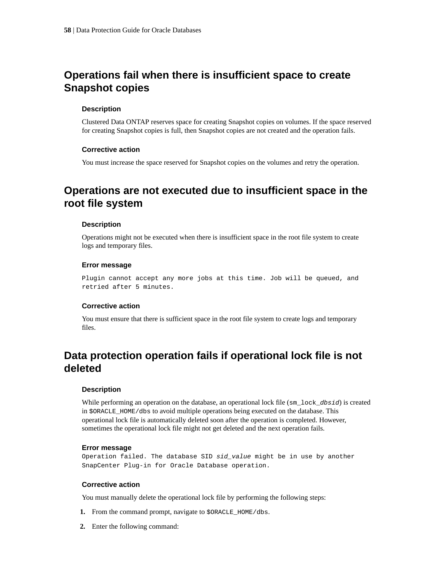## **Operations fail when there is insufficient space to create Snapshot copies**

### **Description**

Clustered Data ONTAP reserves space for creating Snapshot copies on volumes. If the space reserved for creating Snapshot copies is full, then Snapshot copies are not created and the operation fails.

#### **Corrective action**

You must increase the space reserved for Snapshot copies on the volumes and retry the operation.

## **Operations are not executed due to insufficient space in the root file system**

#### **Description**

Operations might not be executed when there is insufficient space in the root file system to create logs and temporary files.

#### **Error message**

Plugin cannot accept any more jobs at this time. Job will be queued, and retried after 5 minutes.

#### **Corrective action**

You must ensure that there is sufficient space in the root file system to create logs and temporary files.

## **Data protection operation fails if operational lock file is not deleted**

#### **Description**

While performing an operation on the database, an operational lock file (sm\_lock\_dbsid) is created in \$ORACLE\_HOME/dbs to avoid multiple operations being executed on the database. This operational lock file is automatically deleted soon after the operation is completed. However, sometimes the operational lock file might not get deleted and the next operation fails.

#### **Error message**

Operation failed. The database SID sid\_value might be in use by another SnapCenter Plug-in for Oracle Database operation.

#### **Corrective action**

You must manually delete the operational lock file by performing the following steps:

- **1.** From the command prompt, navigate to \$ORACLE\_HOME/dbs.
- **2.** Enter the following command: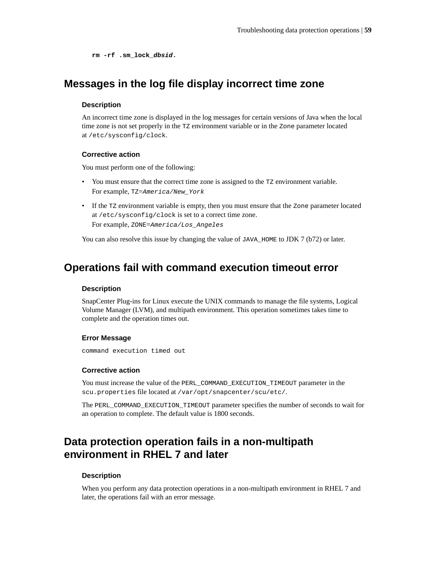**rm -rf .sm\_lock\_dbsid.**

## **Messages in the log file display incorrect time zone**

#### **Description**

An incorrect time zone is displayed in the log messages for certain versions of Java when the local time zone is not set properly in the TZ environment variable or in the Zone parameter located at /etc/sysconfig/clock.

### **Corrective action**

You must perform one of the following:

- You must ensure that the correct time zone is assigned to the TZ environment variable. For example, TZ=America/New\_York
- If the TZ environment variable is empty, then you must ensure that the Zone parameter located at /etc/sysconfig/clock is set to a correct time zone. For example, ZONE=America/Los\_Angeles

You can also resolve this issue by changing the value of JAVA\_HOME to JDK 7 (b72) or later.

## **Operations fail with command execution timeout error**

#### **Description**

SnapCenter Plug-ins for Linux execute the UNIX commands to manage the file systems, Logical Volume Manager (LVM), and multipath environment. This operation sometimes takes time to complete and the operation times out.

#### **Error Message**

command execution timed out

#### **Corrective action**

You must increase the value of the PERL\_COMMAND\_EXECUTION\_TIMEOUT parameter in the scu.properties file located at /var/opt/snapcenter/scu/etc/.

The PERL\_COMMAND\_EXECUTION\_TIMEOUT parameter specifies the number of seconds to wait for an operation to complete. The default value is 1800 seconds.

## **Data protection operation fails in a non-multipath environment in RHEL 7 and later**

#### **Description**

When you perform any data protection operations in a non-multipath environment in RHEL 7 and later, the operations fail with an error message.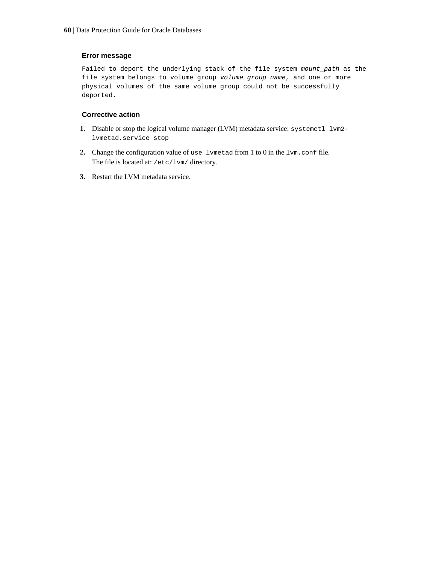### **Error message**

Failed to deport the underlying stack of the file system mount\_path as the file system belongs to volume group volume\_group\_name, and one or more physical volumes of the same volume group could not be successfully deported.

### **Corrective action**

- **1.** Disable or stop the logical volume manager (LVM) metadata service: systemctl lvm2 lvmetad.service stop
- **2.** Change the configuration value of use\_lvmetad from 1 to 0 in the lvm.conf file. The file is located at: /etc/lvm/ directory.
- **3.** Restart the LVM metadata service.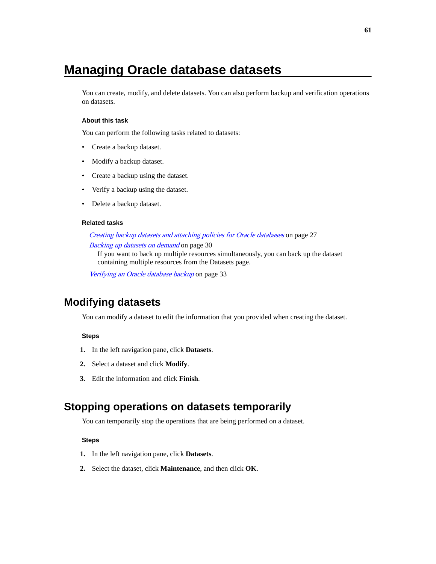# **Managing Oracle database datasets**

You can create, modify, and delete datasets. You can also perform backup and verification operations on datasets.

#### **About this task**

You can perform the following tasks related to datasets:

- Create a backup dataset.
- Modify a backup dataset.
- Create a backup using the dataset.
- Verify a backup using the dataset.
- Delete a backup dataset.

#### **Related tasks**

### [Creating backup datasets and attaching policies for Oracle databases](#page-26-0) on page 27 [Backing up datasets on demand](#page-29-0) on page 30

If you want to back up multiple resources simultaneously, you can back up the dataset containing multiple resources from the Datasets page.

[Verifying an Oracle database backup](#page-32-0) on page 33

## **Modifying datasets**

You can modify a dataset to edit the information that you provided when creating the dataset.

### **Steps**

- **1.** In the left navigation pane, click **Datasets**.
- **2.** Select a dataset and click **Modify**.
- **3.** Edit the information and click **Finish**.

### **Stopping operations on datasets temporarily**

You can temporarily stop the operations that are being performed on a dataset.

- **1.** In the left navigation pane, click **Datasets**.
- **2.** Select the dataset, click **Maintenance**, and then click **OK**.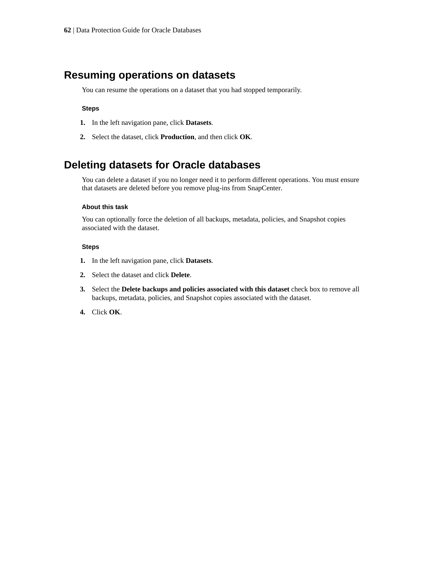### **Resuming operations on datasets**

You can resume the operations on a dataset that you had stopped temporarily.

#### **Steps**

- **1.** In the left navigation pane, click **Datasets**.
- **2.** Select the dataset, click **Production**, and then click **OK**.

## **Deleting datasets for Oracle databases**

You can delete a dataset if you no longer need it to perform different operations. You must ensure that datasets are deleted before you remove plug-ins from SnapCenter.

### **About this task**

You can optionally force the deletion of all backups, metadata, policies, and Snapshot copies associated with the dataset.

- **1.** In the left navigation pane, click **Datasets**.
- **2.** Select the dataset and click **Delete**.
- **3.** Select the **Delete backups and policies associated with this dataset** check box to remove all backups, metadata, policies, and Snapshot copies associated with the dataset.
- **4.** Click **OK**.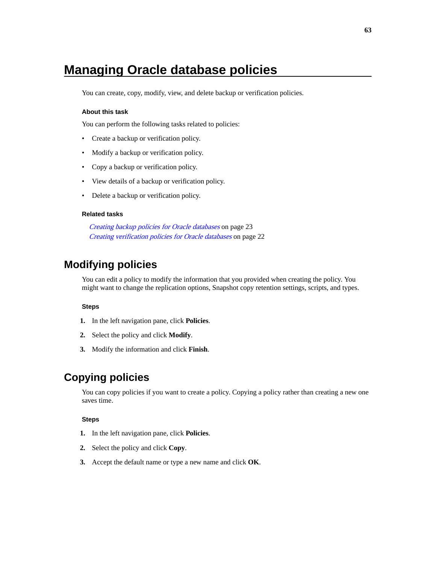# **Managing Oracle database policies**

You can create, copy, modify, view, and delete backup or verification policies.

### **About this task**

You can perform the following tasks related to policies:

- Create a backup or verification policy.
- Modify a backup or verification policy.
- Copy a backup or verification policy.
- View details of a backup or verification policy.
- Delete a backup or verification policy.

#### **Related tasks**

[Creating backup policies for Oracle databases](#page-22-0) on page 23 [Creating verification policies for Oracle databases](#page-21-0) on page 22

## **Modifying policies**

You can edit a policy to modify the information that you provided when creating the policy. You might want to change the replication options, Snapshot copy retention settings, scripts, and types.

#### **Steps**

- **1.** In the left navigation pane, click **Policies**.
- **2.** Select the policy and click **Modify**.
- **3.** Modify the information and click **Finish**.

## **Copying policies**

You can copy policies if you want to create a policy. Copying a policy rather than creating a new one saves time.

- **1.** In the left navigation pane, click **Policies**.
- **2.** Select the policy and click **Copy**.
- **3.** Accept the default name or type a new name and click **OK**.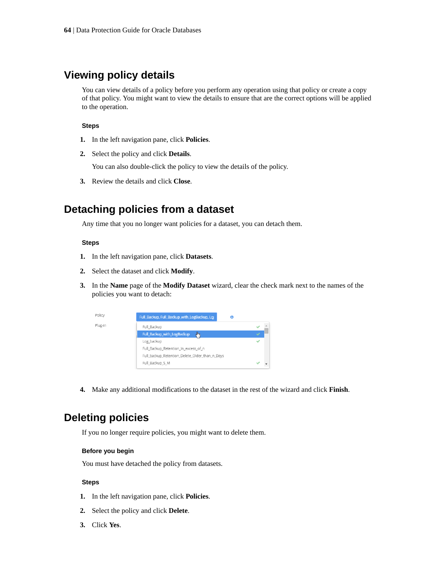## **Viewing policy details**

You can view details of a policy before you perform any operation using that policy or create a copy of that policy. You might want to view the details to ensure that are the correct options will be applied to the operation.

#### **Steps**

- **1.** In the left navigation pane, click **Policies**.
- **2.** Select the policy and click **Details**.

You can also double-click the policy to view the details of the policy.

**3.** Review the details and click **Close**.

## **Detaching policies from a dataset**

Any time that you no longer want policies for a dataset, you can detach them.

#### **Steps**

- **1.** In the left navigation pane, click **Datasets**.
- **2.** Select the dataset and click **Modify**.
- **3.** In the **Name** page of the **Modify Dataset** wizard, clear the check mark next to the names of the policies you want to detach:



**4.** Make any additional modifications to the dataset in the rest of the wizard and click **Finish**.

## **Deleting policies**

If you no longer require policies, you might want to delete them.

#### **Before you begin**

You must have detached the policy from datasets.

- **1.** In the left navigation pane, click **Policies**.
- **2.** Select the policy and click **Delete**.
- **3.** Click **Yes**.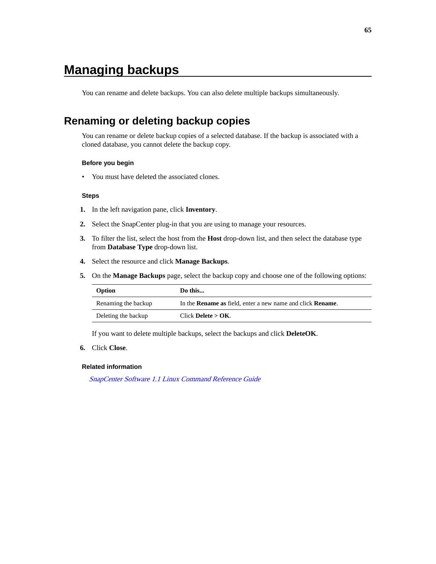# **Managing backups**

You can rename and delete backups. You can also delete multiple backups simultaneously.

# **Renaming or deleting backup copies**

You can rename or delete backup copies of a selected database. If the backup is associated with a cloned database, you cannot delete the backup copy.

#### **Before you begin**

• You must have deleted the associated clones.

#### **Steps**

- **1.** In the left navigation pane, click **Inventory**.
- **2.** Select the SnapCenter plug-in that you are using to manage your resources.
- **3.** To filter the list, select the host from the **Host** drop-down list, and then select the database type from **Database Type** drop-down list.
- **4.** Select the resource and click **Manage Backups**.
- **5.** On the **Manage Backups** page, select the backup copy and choose one of the following options:

| Option              | Do this                                                                   |
|---------------------|---------------------------------------------------------------------------|
| Renaming the backup | In the <b>Rename as</b> field, enter a new name and click <b>Rename</b> . |
| Deleting the backup | Click Delete $>$ OK.                                                      |

If you want to delete multiple backups, select the backups and click **DeleteOK**.

### **6.** Click **Close**.

#### **Related information**

[SnapCenter Software 1.1 Linux Command Reference Guide](https://library.netapp.com/ecm/ecm_download_file/ECMLP2440332)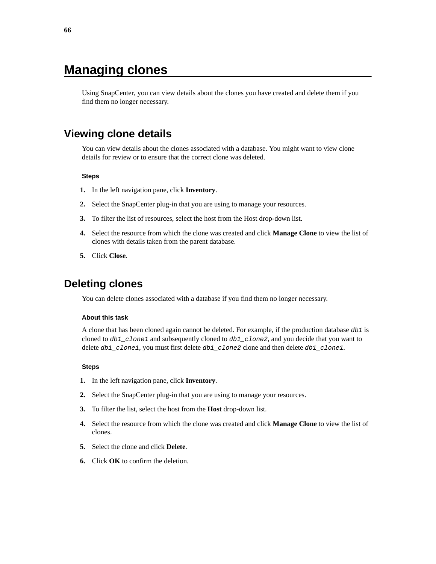# **Managing clones**

Using SnapCenter, you can view details about the clones you have created and delete them if you find them no longer necessary.

## **Viewing clone details**

You can view details about the clones associated with a database. You might want to view clone details for review or to ensure that the correct clone was deleted.

#### **Steps**

- **1.** In the left navigation pane, click **Inventory**.
- **2.** Select the SnapCenter plug-in that you are using to manage your resources.
- **3.** To filter the list of resources, select the host from the Host drop-down list.
- **4.** Select the resource from which the clone was created and click **Manage Clone** to view the list of clones with details taken from the parent database.
- **5.** Click **Close**.

## **Deleting clones**

You can delete clones associated with a database if you find them no longer necessary.

#### **About this task**

A clone that has been cloned again cannot be deleted. For example, if the production database  $db1$  is cloned to db1\_clone1 and subsequently cloned to db1\_clone2, and you decide that you want to delete  $db1_c$ lone1, you must first delete  $db1_c$ lone2 clone and then delete  $db1_c$ lone1.

- **1.** In the left navigation pane, click **Inventory**.
- **2.** Select the SnapCenter plug-in that you are using to manage your resources.
- **3.** To filter the list, select the host from the **Host** drop-down list.
- **4.** Select the resource from which the clone was created and click **Manage Clone** to view the list of clones.
- **5.** Select the clone and click **Delete**.
- **6.** Click **OK** to confirm the deletion.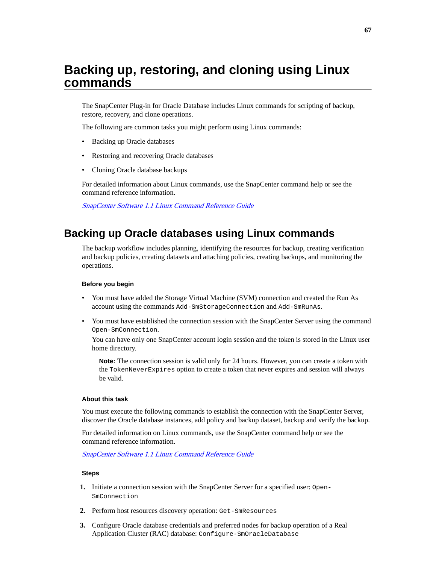# <span id="page-66-0"></span>**Backing up, restoring, and cloning using Linux commands**

The SnapCenter Plug-in for Oracle Database includes Linux commands for scripting of backup, restore, recovery, and clone operations.

The following are common tasks you might perform using Linux commands:

- Backing up Oracle databases
- Restoring and recovering Oracle databases
- Cloning Oracle database backups

For detailed information about Linux commands, use the SnapCenter command help or see the command reference information.

[SnapCenter Software 1.1 Linux Command Reference Guide](https://library.netapp.com/ecm/ecm_download_file/ECMLP2440332)

### **Backing up Oracle databases using Linux commands**

The backup workflow includes planning, identifying the resources for backup, creating verification and backup policies, creating datasets and attaching policies, creating backups, and monitoring the operations.

#### **Before you begin**

- You must have added the Storage Virtual Machine (SVM) connection and created the Run As account using the commands Add-SmStorageConnection and Add-SmRunAs.
- You must have established the connection session with the SnapCenter Server using the command Open-SmConnection.

You can have only one SnapCenter account login session and the token is stored in the Linux user home directory.

**Note:** The connection session is valid only for 24 hours. However, you can create a token with the TokenNeverExpires option to create a token that never expires and session will always be valid.

#### **About this task**

You must execute the following commands to establish the connection with the SnapCenter Server, discover the Oracle database instances, add policy and backup dataset, backup and verify the backup.

For detailed information on Linux commands, use the SnapCenter command help or see the command reference information.

[SnapCenter Software 1.1 Linux Command Reference Guide](https://library.netapp.com/ecm/ecm_download_file/ECMLP2440332)

- **1.** Initiate a connection session with the SnapCenter Server for a specified user: Open-SmConnection
- **2.** Perform host resources discovery operation: Get-SmResources
- **3.** Configure Oracle database credentials and preferred nodes for backup operation of a Real Application Cluster (RAC) database: Configure-SmOracleDatabase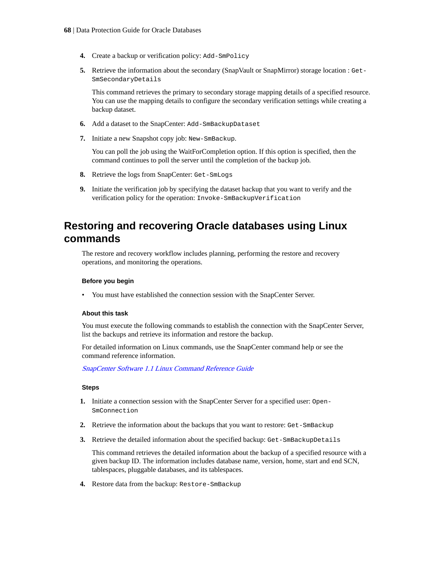- <span id="page-67-0"></span>**4.** Create a backup or verification policy: Add-SmPolicy
- **5.** Retrieve the information about the secondary (SnapVault or SnapMirror) storage location : Get-SmSecondaryDetails

This command retrieves the primary to secondary storage mapping details of a specified resource. You can use the mapping details to configure the secondary verification settings while creating a backup dataset.

- **6.** Add a dataset to the SnapCenter: Add-SmBackupDataset
- **7.** Initiate a new Snapshot copy job: New-SmBackup.

You can poll the job using the WaitForCompletion option. If this option is specified, then the command continues to poll the server until the completion of the backup job.

- **8.** Retrieve the logs from SnapCenter: Get-SmLogs
- **9.** Initiate the verification job by specifying the dataset backup that you want to verify and the verification policy for the operation: Invoke-SmBackupVerification

## **Restoring and recovering Oracle databases using Linux commands**

The restore and recovery workflow includes planning, performing the restore and recovery operations, and monitoring the operations.

#### **Before you begin**

• You must have established the connection session with the SnapCenter Server.

#### **About this task**

You must execute the following commands to establish the connection with the SnapCenter Server, list the backups and retrieve its information and restore the backup.

For detailed information on Linux commands, use the SnapCenter command help or see the command reference information.

[SnapCenter Software 1.1 Linux Command Reference Guide](https://library.netapp.com/ecm/ecm_download_file/ECMLP2440332)

#### **Steps**

- **1.** Initiate a connection session with the SnapCenter Server for a specified user: Open-SmConnection
- **2.** Retrieve the information about the backups that you want to restore: Get-SmBackup
- **3.** Retrieve the detailed information about the specified backup: Get-SmBackupDetails

This command retrieves the detailed information about the backup of a specified resource with a given backup ID. The information includes database name, version, home, start and end SCN, tablespaces, pluggable databases, and its tablespaces.

**4.** Restore data from the backup: Restore-SmBackup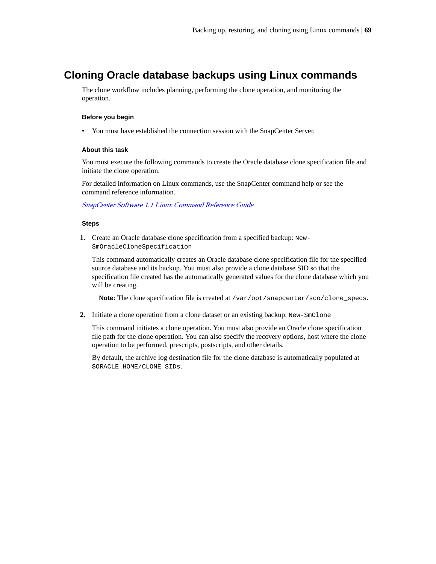## <span id="page-68-0"></span>**Cloning Oracle database backups using Linux commands**

The clone workflow includes planning, performing the clone operation, and monitoring the operation.

#### **Before you begin**

• You must have established the connection session with the SnapCenter Server.

#### **About this task**

You must execute the following commands to create the Oracle database clone specification file and initiate the clone operation.

For detailed information on Linux commands, use the SnapCenter command help or see the command reference information.

[SnapCenter Software 1.1 Linux Command Reference Guide](https://library.netapp.com/ecm/ecm_download_file/ECMLP2440332)

#### **Steps**

**1.** Create an Oracle database clone specification from a specified backup: New-SmOracleCloneSpecification

This command automatically creates an Oracle database clone specification file for the specified source database and its backup. You must also provide a clone database SID so that the specification file created has the automatically generated values for the clone database which you will be creating.

Note: The clone specification file is created at /var/opt/snapcenter/sco/clone\_specs.

**2.** Initiate a clone operation from a clone dataset or an existing backup: New-SmClone

This command initiates a clone operation. You must also provide an Oracle clone specification file path for the clone operation. You can also specify the recovery options, host where the clone operation to be performed, prescripts, postscripts, and other details.

By default, the archive log destination file for the clone database is automatically populated at \$ORACLE\_HOME/CLONE\_SIDs.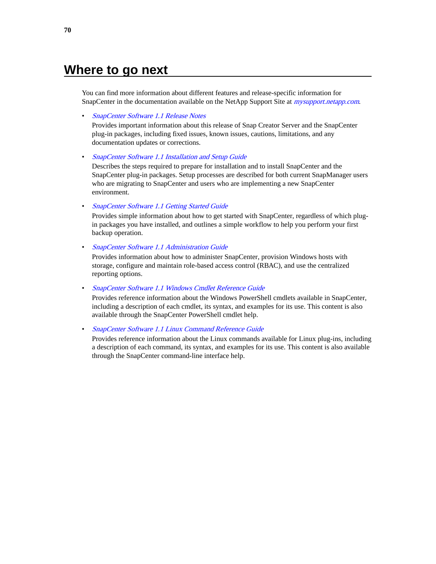# **Where to go next**

You can find more information about different features and release-specific information for SnapCenter in the documentation available on the NetApp Support Site at *[mysupport.netapp.com](http://mysupport.netapp.com/)*.

• [SnapCenter Software 1.1 Release Notes](https://library.netapp.com/ecm/ecm_download_file/ECMLP2439715)

Provides important information about this release of Snap Creator Server and the SnapCenter plug-in packages, including fixed issues, known issues, cautions, limitations, and any documentation updates or corrections.

• [SnapCenter Software 1.1 Installation and Setup Guide](https://library.netapp.com/ecm/ecm_download_file/ECMLP2440193)

Describes the steps required to prepare for installation and to install SnapCenter and the SnapCenter plug-in packages. Setup processes are described for both current SnapManager users who are migrating to SnapCenter and users who are implementing a new SnapCenter environment.

• [SnapCenter Software 1.1 Getting Started Guide](https://library.netapp.com/ecm/ecm_download_file/ECMLP2440145)

Provides simple information about how to get started with SnapCenter, regardless of which plugin packages you have installed, and outlines a simple workflow to help you perform your first backup operation.

• [SnapCenter Software 1.1 Administration Guide](https://library.netapp.com/ecm/ecm_download_file/ECMLP2439718)

Provides information about how to administer SnapCenter, provision Windows hosts with storage, configure and maintain role-based access control (RBAC), and use the centralized reporting options.

• [SnapCenter Software 1.1 Windows Cmdlet Reference Guide](https://library.netapp.com/ecm/ecm_download_file/ECMLP2440057)

Provides reference information about the Windows PowerShell cmdlets available in SnapCenter, including a description of each cmdlet, its syntax, and examples for its use. This content is also available through the SnapCenter PowerShell cmdlet help.

• [SnapCenter Software 1.1 Linux Command Reference Guide](https://library.netapp.com/ecm/ecm_download_file/ECMLP2440332)

Provides reference information about the Linux commands available for Linux plug-ins, including a description of each command, its syntax, and examples for its use. This content is also available through the SnapCenter command-line interface help.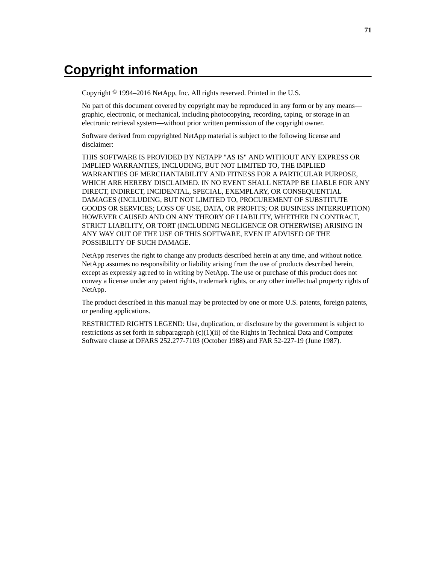# **Copyright information**

Copyright © 1994–2016 NetApp, Inc. All rights reserved. Printed in the U.S.

No part of this document covered by copyright may be reproduced in any form or by any means graphic, electronic, or mechanical, including photocopying, recording, taping, or storage in an electronic retrieval system—without prior written permission of the copyright owner.

Software derived from copyrighted NetApp material is subject to the following license and disclaimer:

THIS SOFTWARE IS PROVIDED BY NETAPP "AS IS" AND WITHOUT ANY EXPRESS OR IMPLIED WARRANTIES, INCLUDING, BUT NOT LIMITED TO, THE IMPLIED WARRANTIES OF MERCHANTABILITY AND FITNESS FOR A PARTICULAR PURPOSE, WHICH ARE HEREBY DISCLAIMED. IN NO EVENT SHALL NETAPP BE LIABLE FOR ANY DIRECT, INDIRECT, INCIDENTAL, SPECIAL, EXEMPLARY, OR CONSEQUENTIAL DAMAGES (INCLUDING, BUT NOT LIMITED TO, PROCUREMENT OF SUBSTITUTE GOODS OR SERVICES; LOSS OF USE, DATA, OR PROFITS; OR BUSINESS INTERRUPTION) HOWEVER CAUSED AND ON ANY THEORY OF LIABILITY, WHETHER IN CONTRACT, STRICT LIABILITY, OR TORT (INCLUDING NEGLIGENCE OR OTHERWISE) ARISING IN ANY WAY OUT OF THE USE OF THIS SOFTWARE, EVEN IF ADVISED OF THE POSSIBILITY OF SUCH DAMAGE.

NetApp reserves the right to change any products described herein at any time, and without notice. NetApp assumes no responsibility or liability arising from the use of products described herein, except as expressly agreed to in writing by NetApp. The use or purchase of this product does not convey a license under any patent rights, trademark rights, or any other intellectual property rights of NetApp.

The product described in this manual may be protected by one or more U.S. patents, foreign patents, or pending applications.

RESTRICTED RIGHTS LEGEND: Use, duplication, or disclosure by the government is subject to restrictions as set forth in subparagraph  $(c)(1)(ii)$  of the Rights in Technical Data and Computer Software clause at DFARS 252.277-7103 (October 1988) and FAR 52-227-19 (June 1987).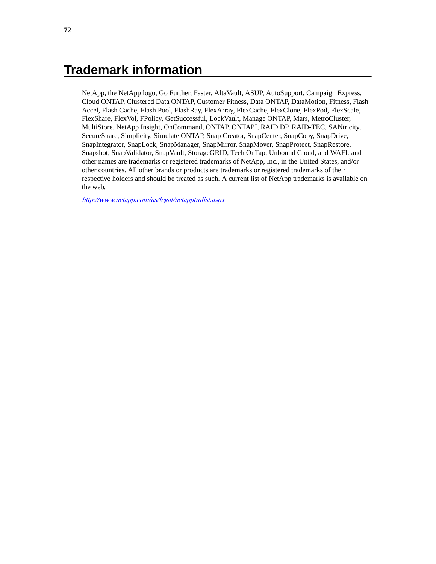# **Trademark information**

NetApp, the NetApp logo, Go Further, Faster, AltaVault, ASUP, AutoSupport, Campaign Express, Cloud ONTAP, Clustered Data ONTAP, Customer Fitness, Data ONTAP, DataMotion, Fitness, Flash Accel, Flash Cache, Flash Pool, FlashRay, FlexArray, FlexCache, FlexClone, FlexPod, FlexScale, FlexShare, FlexVol, FPolicy, GetSuccessful, LockVault, Manage ONTAP, Mars, MetroCluster, MultiStore, NetApp Insight, OnCommand, ONTAP, ONTAPI, RAID DP, RAID-TEC, SANtricity, SecureShare, Simplicity, Simulate ONTAP, Snap Creator, SnapCenter, SnapCopy, SnapDrive, SnapIntegrator, SnapLock, SnapManager, SnapMirror, SnapMover, SnapProtect, SnapRestore, Snapshot, SnapValidator, SnapVault, StorageGRID, Tech OnTap, Unbound Cloud, and WAFL and other names are trademarks or registered trademarks of NetApp, Inc., in the United States, and/or other countries. All other brands or products are trademarks or registered trademarks of their respective holders and should be treated as such. A current list of NetApp trademarks is available on the web.

<http://www.netapp.com/us/legal/netapptmlist.aspx>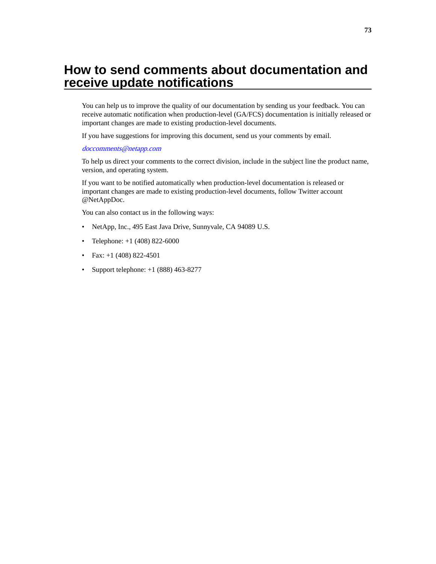# <span id="page-72-0"></span>**How to send comments about documentation and receive update notifications**

You can help us to improve the quality of our documentation by sending us your feedback. You can receive automatic notification when production-level (GA/FCS) documentation is initially released or important changes are made to existing production-level documents.

If you have suggestions for improving this document, send us your comments by email.

#### [doccomments@netapp.com](mailto:doccomments@netapp.com)

To help us direct your comments to the correct division, include in the subject line the product name, version, and operating system.

If you want to be notified automatically when production-level documentation is released or important changes are made to existing production-level documents, follow Twitter account @NetAppDoc.

You can also contact us in the following ways:

- NetApp, Inc., 495 East Java Drive, Sunnyvale, CA 94089 U.S.
- Telephone: +1 (408) 822-6000
- Fax:  $+1$  (408) 822-4501
- Support telephone:  $+1$  (888) 463-8277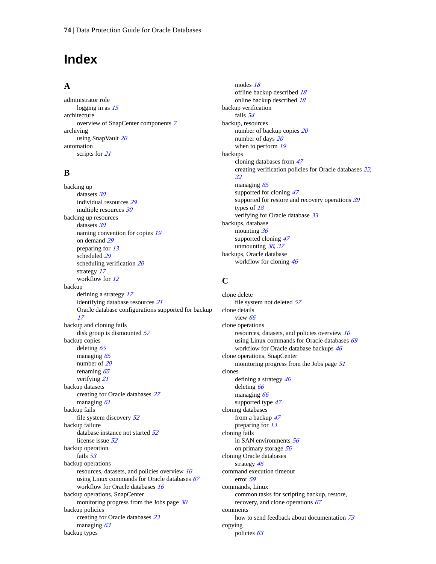# **Index**

#### **A**

administrator role logging in as  $15$ architecture overview of SnapCenter components [7](#page-6-0) archiving using SnapVault [20](#page-19-0) automation scripts for [21](#page-20-0)

#### **B**

backing up datasets [30](#page-29-0) individual resources [29](#page-28-0) multiple resources [30](#page-29-0) backing up resources datasets [30](#page-29-0) naming convention for copies [19](#page-18-0) on demand [29](#page-28-0) preparing for [13](#page-12-0) scheduled [29](#page-28-0) scheduling verification [20](#page-19-0) strategy [17](#page-16-0) workflow for [12](#page-11-0) backup defining a strategy [17](#page-16-0) identifying database resources [21](#page-20-0) Oracle database configurations supported for backup [17](#page-16-0) backup and cloning fails disk group is dismounted [57](#page-56-0) backup copies deleting [65](#page-64-0) managing [65](#page-64-0) number of [20](#page-19-0) renaming [65](#page-64-0) verifying [21](#page-20-0) backup datasets creating for Oracle databases [27](#page-26-0) managing [61](#page-60-0) backup fails file system discovery [52](#page-51-0) backup failure database instance not started [52](#page-51-0) license issue [52](#page-51-0) backup operation fails [53](#page-52-0) backup operations resources, datasets, and policies overview [10](#page-9-0) using Linux commands for Oracle databases  $67$ workflow for Oracle databases [16](#page-15-0) backup operations, SnapCenter monitoring progress from the Jobs page [30](#page-29-0) backup policies creating for Oracle databases [23](#page-22-0) managing [63](#page-62-0) backup types

modes [18](#page-17-0) offline backup described [18](#page-17-0) online backup described [18](#page-17-0) backup verification fails [54](#page-53-0) backup, resources number of backup copies [20](#page-19-0) number of days [20](#page-19-0) when to perform [19](#page-18-0) backups cloning databases from [47](#page-46-0) creating verification policies for Oracle databases [22](#page-21-0), [32](#page-31-0) managing [65](#page-64-0) supported for cloning  $47$ supported for restore and recovery operations [39](#page-38-0) types of [18](#page-17-0) verifying for Oracle database [33](#page-32-0) backups, database mounting [36](#page-35-0) supported cloning  $47$ unmounting [36](#page-35-0), [37](#page-36-0) backups, Oracle database workflow for cloning [46](#page-45-0)

#### **C**

clone delete file system not deleted [57](#page-56-0) clone details view [66](#page-65-0) clone operations resources, datasets, and policies overview [10](#page-9-0) using Linux commands for Oracle databases [69](#page-68-0) workflow for Oracle database backups  $46$ clone operations, SnapCenter monitoring progress from the Jobs page [51](#page-50-0) clones defining a strategy  $46$ deleting [66](#page-65-0) managing [66](#page-65-0) supported type  $47$ cloning databases from a backup [47](#page-46-0) preparing for [13](#page-12-0) cloning fails in SAN environments [56](#page-55-0) on primary storage [56](#page-55-0) cloning Oracle databases strategy [46](#page-45-0) command execution timeout error [59](#page-58-0) commands, Linux common tasks for scripting backup, restore, recovery, and clone operations [67](#page-66-0) comments how to send feedback about documentation [73](#page-72-0) copying policies [63](#page-62-0)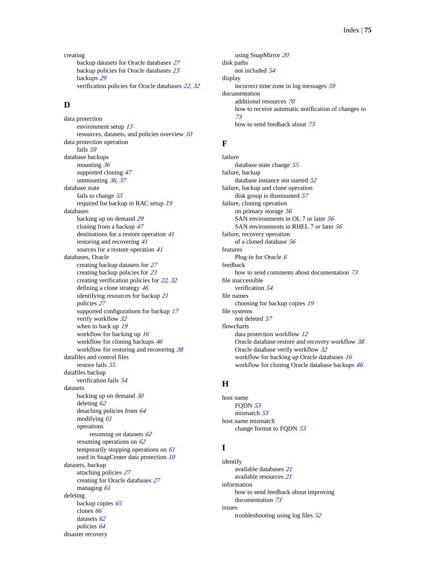creating backup datasets for Oracle databases [27](#page-26-0) backup policies for Oracle databases [23](#page-22-0) backups [29](#page-28-0) verification policies for Oracle databases [22](#page-21-0), [32](#page-31-0)

## **D**

data protection environment setup [13](#page-12-0) resources, datasets, and policies overview [10](#page-9-0) data protection operation fails [59](#page-58-0) database backups mounting [36](#page-35-0) supported cloning  $47$ unmounting  $36, 37$  $36, 37$  $36, 37$ database state fails to change [55](#page-54-0) required for backup in RAC setup [19](#page-18-0) databases backing up on demand [29](#page-28-0) cloning from a backup [47](#page-46-0) destinations for a restore operation [41](#page-40-0) restoring and recovering [41](#page-40-0) sources for a restore operation [41](#page-40-0) databases, Oracle creating backup datasets for [27](#page-26-0) creating backup policies for [23](#page-22-0) creating verification policies for [22](#page-21-0), [32](#page-31-0) defining a clone strategy  $46$ identifying resources for backup [21](#page-20-0) policies [27](#page-26-0) supported configurations for backup  $17$ verify workflow [32](#page-31-0) when to back up [19](#page-18-0) workflow for backing up [16](#page-15-0) workflow for cloning backups  $46$ workflow for restoring and recovering [38](#page-37-0) datafiles and control files restore fails [55](#page-54-0) datafiles backup verification fails [54](#page-53-0) datasets backing up on demand  $30$ deleting [62](#page-61-0) detaching policies from [64](#page-63-0) modifying [61](#page-60-0) operations resuming on datasets [62](#page-61-0) resuming operations on  $62$ temporarily stopping operations on  $61$ used in SnapCenter data protection  $10$ datasets, backup attaching policies [27](#page-26-0) creating for Oracle databases [27](#page-26-0) managing [61](#page-60-0) deleting backup copies [65](#page-64-0) clones [66](#page-65-0) datasets [62](#page-61-0) policies [64](#page-63-0) disaster recovery

using SnapMirror [20](#page-19-0) disk paths not included [54](#page-53-0) display incorrect time zone in log messages [59](#page-58-0) documentation additional resources [70](#page-69-0) how to receive automatic notification of changes to [73](#page-72-0) how to send feedback about [73](#page-72-0)

### **F**

failure database state change [55](#page-54-0) failure, backup database instance not started [52](#page-51-0) failure, backup and clone operation disk group is dismounted  $57$ failure, cloning operation on primary storage [56](#page-55-0) SAN environments in OL 7 or later [56](#page-55-0) SAN environments in RHEL 7 or later [56](#page-55-0) failure, recovery operation of a cloned database [56](#page-55-0) features Plug-in for Oracle  $6$ feedback how to send comments about documentation  $73$ file inaccessible verification [54](#page-53-0) file names choosing for backup copies [19](#page-18-0) file systems not deleted [57](#page-56-0) flowcharts data protection workflow [12](#page-11-0) Oracle database restore and recovery workflow [38](#page-37-0) Oracle database verify workflow [32](#page-31-0) workflow for backing up Oracle databases [16](#page-15-0) workflow for cloning Oracle database backups [46](#page-45-0)

### **H**

host name FODN  $53$ mismatch [53](#page-52-0) host name mismatch change format to FODN [53](#page-52-0)

## **I**

identify available databases [21](#page-20-0) available resources [21](#page-20-0) information how to send feedback about improving documentation [73](#page-72-0) issues troubleshooting using log files [52](#page-51-0)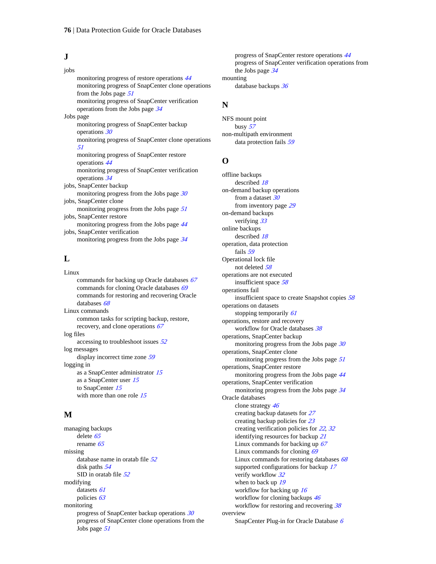#### **J**

jobs monitoring progress of restore operations [44](#page-43-0) monitoring progress of SnapCenter clone operations from the Jobs page [51](#page-50-0) monitoring progress of SnapCenter verification operations from the Jobs page [34](#page-33-0) Jobs page monitoring progress of SnapCenter backup operations [30](#page-29-0) monitoring progress of SnapCenter clone operations [51](#page-50-0) monitoring progress of SnapCenter restore operations [44](#page-43-0) monitoring progress of SnapCenter verification operations [34](#page-33-0) jobs, SnapCenter backup monitoring progress from the Jobs page  $30$ jobs, SnapCenter clone monitoring progress from the Jobs page [51](#page-50-0) jobs, SnapCenter restore monitoring progress from the Jobs page [44](#page-43-0) jobs, SnapCenter verification monitoring progress from the Jobs page [34](#page-33-0)

## **L**

Linux commands for backing up Oracle databases  $67$ commands for cloning Oracle databases [69](#page-68-0) commands for restoring and recovering Oracle databases [68](#page-67-0) Linux commands common tasks for scripting backup, restore, recovery, and clone operations [67](#page-66-0) log files accessing to troubleshoot issues  $52$ log messages display incorrect time zone [59](#page-58-0) logging in as a SnapCenter administrator [15](#page-14-0) as a SnapCenter user [15](#page-14-0) to SnapCenter [15](#page-14-0) with more than one role [15](#page-14-0)

#### **M**

managing backups delete [65](#page-64-0) rename [65](#page-64-0) missing database name in oratab file [52](#page-51-0) disk paths [54](#page-53-0) SID in oratab file  $52$ modifying datasets [61](#page-60-0) policies [63](#page-62-0) monitoring progress of SnapCenter backup operations [30](#page-29-0) progress of SnapCenter clone operations from the Jobs page [51](#page-50-0)

progress of SnapCenter restore operations [44](#page-43-0) progress of SnapCenter verification operations from the Jobs page [34](#page-33-0) mounting

database backups [36](#page-35-0)

### **N**

NFS mount point busy [57](#page-56-0) non-multipath environment data protection fails [59](#page-58-0)

#### **O**

offline backups described [18](#page-17-0) on-demand backup operations from a dataset [30](#page-29-0) from inventory page [29](#page-28-0) on-demand backups verifying [33](#page-32-0) online backups described [18](#page-17-0) operation, data protection fails [59](#page-58-0) Operational lock file not deleted [58](#page-57-0) operations are not executed insufficient space [58](#page-57-0) operations fail insufficient space to create Snapshot copies [58](#page-57-0) operations on datasets stopping temporarily [61](#page-60-0) operations, restore and recovery workflow for Oracle databases [38](#page-37-0) operations, SnapCenter backup monitoring progress from the Jobs page [30](#page-29-0) operations, SnapCenter clone monitoring progress from the Jobs page [51](#page-50-0) operations, SnapCenter restore monitoring progress from the Jobs page [44](#page-43-0) operations, SnapCenter verification monitoring progress from the Jobs page [34](#page-33-0) Oracle databases clone strategy [46](#page-45-0) creating backup datasets for [27](#page-26-0) creating backup policies for [23](#page-22-0) creating verification policies for [22](#page-21-0), [32](#page-31-0) identifying resources for backup [21](#page-20-0) Linux commands for backing up  $67$ Linux commands for cloning [69](#page-68-0) Linux commands for restoring databases [68](#page-67-0) supported configurations for backup [17](#page-16-0) verify workflow [32](#page-31-0) when to back up [19](#page-18-0) workflow for backing up  $16$ workflow for cloning backups  $46$ workflow for restoring and recovering [38](#page-37-0) overview SnapCenter Plug-in for Oracle Database [6](#page-5-0)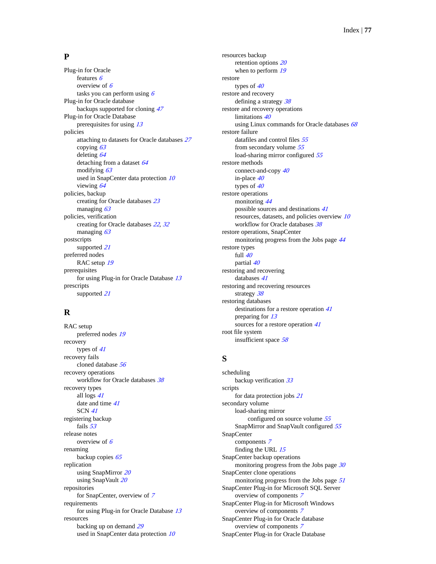#### **P**

Plug-in for Oracle features [6](#page-5-0) overview of  $6$ tasks you can perform using  $6$ Plug-in for Oracle database backups supported for cloning [47](#page-46-0) Plug-in for Oracle Database prerequisites for using [13](#page-12-0) policies attaching to datasets for Oracle databases [27](#page-26-0) copying [63](#page-62-0) deleting [64](#page-63-0) detaching from a dataset [64](#page-63-0) modifying  $63$ used in SnapCenter data protection [10](#page-9-0) viewing [64](#page-63-0) policies, backup creating for Oracle databases [23](#page-22-0) managing [63](#page-62-0) policies, verification creating for Oracle databases [22](#page-21-0), [32](#page-31-0) managing [63](#page-62-0) postscripts supported [21](#page-20-0) preferred nodes RAC setup [19](#page-18-0) prerequisites for using Plug-in for Oracle Database [13](#page-12-0) prescripts supported [21](#page-20-0)

## **R**

RAC setup preferred nodes [19](#page-18-0) recovery types of [41](#page-40-0) recovery fails cloned database [56](#page-55-0) recovery operations workflow for Oracle databases [38](#page-37-0) recovery types all logs [41](#page-40-0) date and time  $41$ SCN [41](#page-40-0) registering backup fails [53](#page-52-0) release notes overview of  $6$ renaming backup copies [65](#page-64-0) replication using SnapMirror [20](#page-19-0) using SnapVault [20](#page-19-0) repositories for SnapCenter, overview of [7](#page-6-0) requirements for using Plug-in for Oracle Database [13](#page-12-0) resources backing up on demand [29](#page-28-0) used in SnapCenter data protection [10](#page-9-0)

resources backup retention options [20](#page-19-0) when to perform [19](#page-18-0) restore types of  $40$ restore and recovery defining a strategy  $38$ restore and recovery operations limitations [40](#page-39-0) using Linux commands for Oracle databases  $68$ restore failure datafiles and control files [55](#page-54-0) from secondary volume [55](#page-54-0) load-sharing mirror configured [55](#page-54-0) restore methods connect-and-copy [40](#page-39-0) in-place [40](#page-39-0) types of  $40$ restore operations monitoring [44](#page-43-0) possible sources and destinations [41](#page-40-0) resources, datasets, and policies overview [10](#page-9-0) workflow for Oracle databases [38](#page-37-0) restore operations, SnapCenter monitoring progress from the Jobs page [44](#page-43-0) restore types full  $40$ partial [40](#page-39-0) restoring and recovering databases [41](#page-40-0) restoring and recovering resources strategy [38](#page-37-0) restoring databases destinations for a restore operation [41](#page-40-0) preparing for [13](#page-12-0) sources for a restore operation [41](#page-40-0) root file system insufficient space [58](#page-57-0)

## **S**

scheduling backup verification [33](#page-32-0) scripts for data protection jobs [21](#page-20-0) secondary volume load-sharing mirror configured on source volume [55](#page-54-0) SnapMirror and SnapVault configured [55](#page-54-0) SnapCenter components [7](#page-6-0) finding the URL [15](#page-14-0) SnapCenter backup operations monitoring progress from the Jobs page [30](#page-29-0) SnapCenter clone operations monitoring progress from the Jobs page [51](#page-50-0) SnapCenter Plug-in for Microsoft SQL Server overview of components [7](#page-6-0) SnapCenter Plug-in for Microsoft Windows overview of components [7](#page-6-0) SnapCenter Plug-in for Oracle database overview of components [7](#page-6-0) SnapCenter Plug-in for Oracle Database